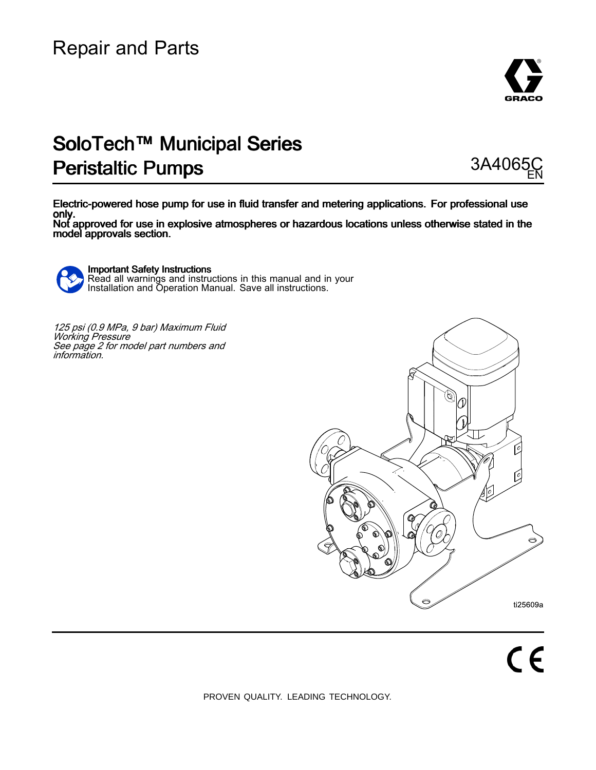

# SoloTech™ Municipal Series Peristaltic Pumps 3A4065



Electric-powered hose pump for use in fluid transfer and metering applications. For professional use only. Not approved for use in explosive atmospheres or hazardous locations unless otherwise stated in the

model approvals section.



**Important Safety Instructions** Read all warnings and instructions in this manual and in your<br>Installation and Operation Manual, Save all instructions Installation and Operation Manual. Save all instructions.

125 psi (0.9 MPa, 9 bar) Maximum Fluid<br>Working Pressure *Working Pressure<br>See nage 2 for mo* See page 2 for model part numbers and<br>information information.

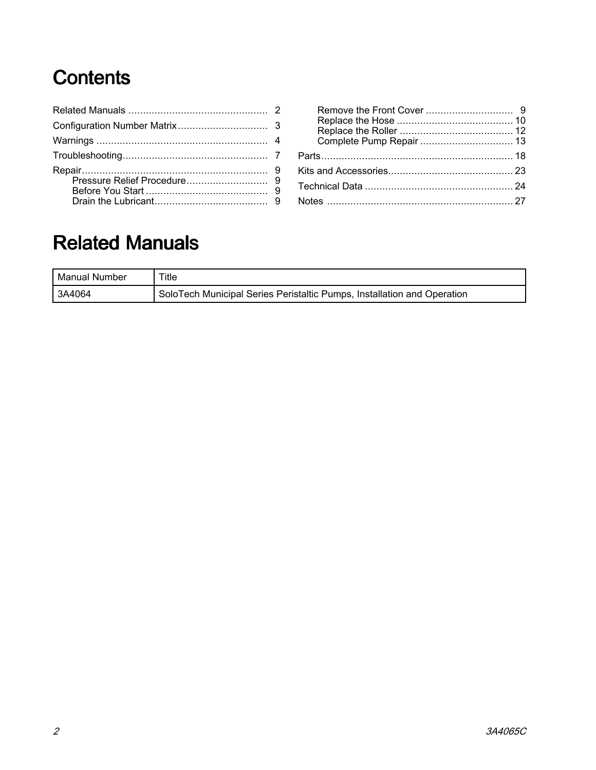# Contents

# Related Manuals

| Manual Number | Title                                                                   |
|---------------|-------------------------------------------------------------------------|
| 3A4064        | SoloTech Municipal Series Peristaltic Pumps, Installation and Operation |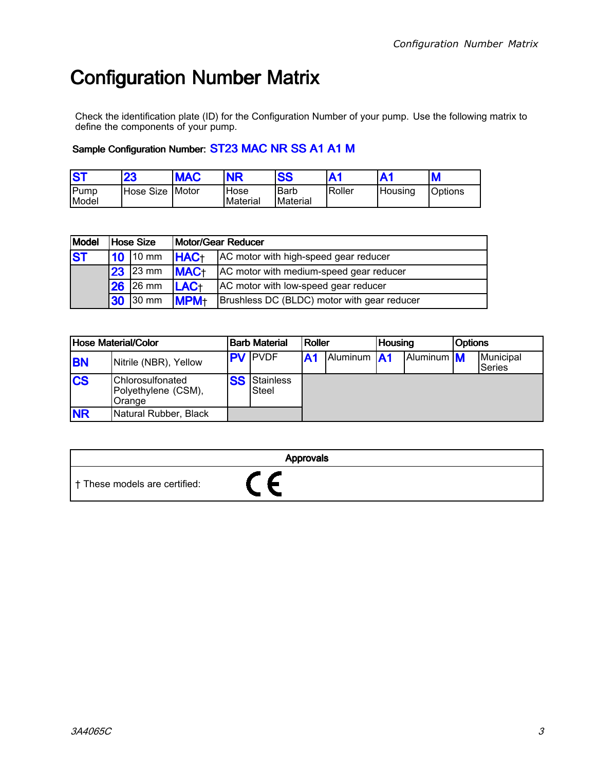# <span id="page-2-0"></span>**Configuration Number Matrix**

Check the identification plate (ID) for the Configuration Number of your pump. Use the following matrix to define the components of your pump.

### Sample Configuration Number: ST23 MAC NR SS A1 A1 M

| IS1           | 23              | <b>MAC</b> | <b>NR</b>        | <b>SS</b>        | A <sub>1</sub> |          | M              |
|---------------|-----------------|------------|------------------|------------------|----------------|----------|----------------|
| Pump<br>Model | Hose Size Motor |            | Hose<br>Material | Barb<br>Material | Roller         | 'Housing | <b>Options</b> |

| Model     |    | Hose Size       | <b>Motor/Gear Reducer</b> |                                             |  |  |
|-----------|----|-----------------|---------------------------|---------------------------------------------|--|--|
| <b>ST</b> | 10 | $10 \text{ mm}$ | <b>HAC+</b>               | AC motor with high-speed gear reducer       |  |  |
|           | 23 | 23 mm           | <b>MAC+</b>               | AC motor with medium-speed gear reducer     |  |  |
|           | 26 | 26 mm           | LAC+                      | AC motor with low-speed gear reducer        |  |  |
|           | 30 | 30 mm           | <b>MPM+</b>               | Brushless DC (BLDC) motor with gear reducer |  |  |

| Hose Material/Color |                                                          | <b>Barb Material</b> |                           | Roller         |                    | <b>Housing</b> |            | <b>Options</b> |                     |
|---------------------|----------------------------------------------------------|----------------------|---------------------------|----------------|--------------------|----------------|------------|----------------|---------------------|
| <b>BN</b>           | Nitrile (NBR), Yellow                                    |                      | <b>PV</b> PVDF            | A <sub>1</sub> | Aluminum <b>A1</b> |                | Aluminum M |                | Municipal<br>Series |
| <b>CS</b>           | <b>Chlorosulfonated</b><br>Polyethylene (CSM),<br>Orange | <b>SS</b>            | <b>Stainless</b><br>Steel |                |                    |                |            |                |                     |
| <b>NR</b>           | Natural Rubber, Black                                    |                      |                           |                |                    |                |            |                |                     |

|                               | <b>Approvals</b> |
|-------------------------------|------------------|
| † These models are certified: |                  |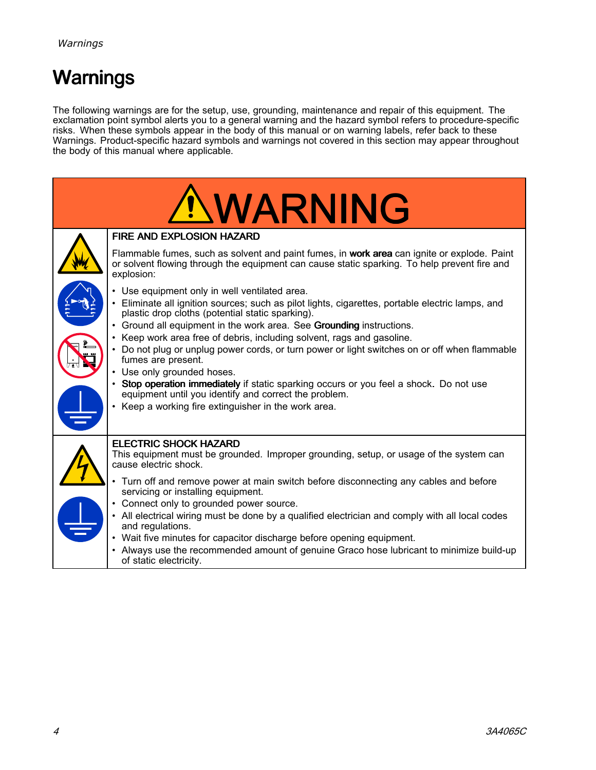# <span id="page-3-0"></span>Warnings

The following warnings are for the setup, use, grounding, maintenance and repair of this equipment. The<br>exclamation point symbol alerts you to a general warning and the bazard symbol refers to procedure spec exclamation point symbol alerts you to a general warning and the hazard symbol refers to procedure-specific<br>risks. When these symbols annear in the body of this manual or on warning labels, refer back to these risks. When these symbols appear in the body of this manual or on warning labels, refer back to these<br>Warnings, Product specific bazard symbols and warnings not covered in this section may appear throu Warnings. Product-specific hazard symbols and warnings not covered in this section may appear throughout<br>the body of this manual where applicable the body of this manual where applicable.

| <b>NWARNING</b>                                                                                                                                                                                           |
|-----------------------------------------------------------------------------------------------------------------------------------------------------------------------------------------------------------|
| <b>FIRE AND EXPLOSION HAZARD</b>                                                                                                                                                                          |
| Flammable fumes, such as solvent and paint fumes, in work area can ignite or explode. Paint<br>or solvent flowing through the equipment can cause static sparking. To help prevent fire and<br>explosion: |
| Use equipment only in well ventilated area.                                                                                                                                                               |
| • Eliminate all ignition sources; such as pilot lights, cigarettes, portable electric lamps, and<br>plastic drop cloths (potential static sparking).                                                      |
| • Ground all equipment in the work area. See Grounding instructions.<br>• Keep work area free of debris, including solvent, rags and gasoline.                                                            |
| • Do not plug or unplug power cords, or turn power or light switches on or off when flammable<br>fumes are present.                                                                                       |
| • Use only grounded hoses.                                                                                                                                                                                |
| • Stop operation immediately if static sparking occurs or you feel a shock. Do not use<br>equipment until you identify and correct the problem.                                                           |
| • Keep a working fire extinguisher in the work area.                                                                                                                                                      |
|                                                                                                                                                                                                           |
| <b>ELECTRIC SHOCK HAZARD</b><br>This equipment must be grounded. Improper grounding, setup, or usage of the system can<br>cause electric shock.                                                           |
| Turn off and remove power at main switch before disconnecting any cables and before<br>servicing or installing equipment.                                                                                 |
| Connect only to grounded power source.                                                                                                                                                                    |
| • All electrical wiring must be done by a qualified electrician and comply with all local codes<br>and regulations.                                                                                       |
| • Wait five minutes for capacitor discharge before opening equipment.                                                                                                                                     |
| • Always use the recommended amount of genuine Graco hose lubricant to minimize build-up<br>of static electricity.                                                                                        |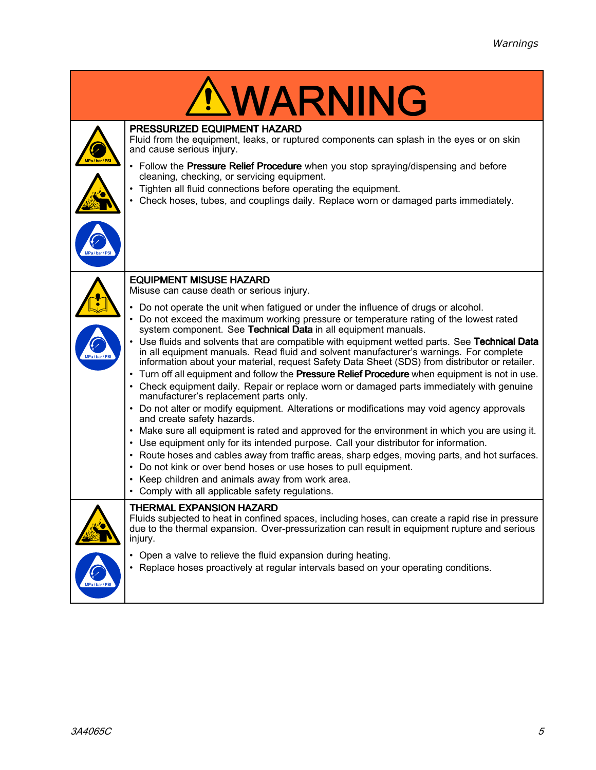|                         | <b>WARNING</b>                                                                                                                                                                                                                                                                                                                                                                                                                                                                                                                                                                                                                                                                                                                                                                                                                                                                                                                                                                                                                                                                                                                                                                                                                                                                                                                                                                                                                                                              |
|-------------------------|-----------------------------------------------------------------------------------------------------------------------------------------------------------------------------------------------------------------------------------------------------------------------------------------------------------------------------------------------------------------------------------------------------------------------------------------------------------------------------------------------------------------------------------------------------------------------------------------------------------------------------------------------------------------------------------------------------------------------------------------------------------------------------------------------------------------------------------------------------------------------------------------------------------------------------------------------------------------------------------------------------------------------------------------------------------------------------------------------------------------------------------------------------------------------------------------------------------------------------------------------------------------------------------------------------------------------------------------------------------------------------------------------------------------------------------------------------------------------------|
| a/bar/PSI<br>Pa/bar/PSI | PRESSURIZED EQUIPMENT HAZARD<br>Fluid from the equipment, leaks, or ruptured components can splash in the eyes or on skin<br>and cause serious injury.<br>• Follow the Pressure Relief Procedure when you stop spraying/dispensing and before<br>cleaning, checking, or servicing equipment.<br>Tighten all fluid connections before operating the equipment.<br>Check hoses, tubes, and couplings daily. Replace worn or damaged parts immediately.                                                                                                                                                                                                                                                                                                                                                                                                                                                                                                                                                                                                                                                                                                                                                                                                                                                                                                                                                                                                                        |
| MPa/bar/PSI             | <b>EQUIPMENT MISUSE HAZARD</b><br>Misuse can cause death or serious injury.<br>Do not operate the unit when fatigued or under the influence of drugs or alcohol.<br>Do not exceed the maximum working pressure or temperature rating of the lowest rated<br>system component. See Technical Data in all equipment manuals.<br>Use fluids and solvents that are compatible with equipment wetted parts. See Technical Data<br>in all equipment manuals. Read fluid and solvent manufacturer's warnings. For complete<br>information about your material, request Safety Data Sheet (SDS) from distributor or retailer.<br>Turn off all equipment and follow the Pressure Relief Procedure when equipment is not in use.<br>Check equipment daily. Repair or replace worn or damaged parts immediately with genuine<br>manufacturer's replacement parts only.<br>• Do not alter or modify equipment. Alterations or modifications may void agency approvals<br>and create safety hazards.<br>• Make sure all equipment is rated and approved for the environment in which you are using it.<br>• Use equipment only for its intended purpose. Call your distributor for information.<br>• Route hoses and cables away from traffic areas, sharp edges, moving parts, and hot surfaces.<br>Do not kink or over bend hoses or use hoses to pull equipment.<br>$\bullet$<br>• Keep children and animals away from work area.<br>• Comply with all applicable safety regulations. |
| MPa/bar/PSI             | <b>THERMAL EXPANSION HAZARD</b><br>Fluids subjected to heat in confined spaces, including hoses, can create a rapid rise in pressure<br>due to the thermal expansion. Over-pressurization can result in equipment rupture and serious<br>injury.<br>• Open a valve to relieve the fluid expansion during heating.<br>• Replace hoses proactively at regular intervals based on your operating conditions.                                                                                                                                                                                                                                                                                                                                                                                                                                                                                                                                                                                                                                                                                                                                                                                                                                                                                                                                                                                                                                                                   |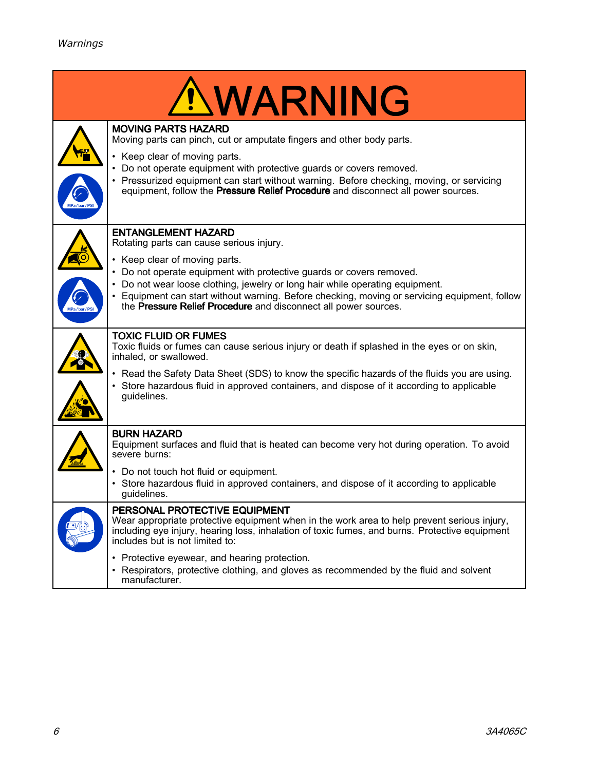|            | <b>NWARNING</b>                                                                                                                                                                                                                                                                         |
|------------|-----------------------------------------------------------------------------------------------------------------------------------------------------------------------------------------------------------------------------------------------------------------------------------------|
|            | <b>MOVING PARTS HAZARD</b><br>Moving parts can pinch, cut or amputate fingers and other body parts.                                                                                                                                                                                     |
| Pa/bar/PS  | • Keep clear of moving parts.<br>• Do not operate equipment with protective guards or covers removed.<br>• Pressurized equipment can start without warning. Before checking, moving, or servicing<br>equipment, follow the Pressure Relief Procedure and disconnect all power sources.  |
|            | <b>ENTANGLEMENT HAZARD</b><br>Rotating parts can cause serious injury.                                                                                                                                                                                                                  |
|            | • Keep clear of moving parts.<br>• Do not operate equipment with protective guards or covers removed.<br>• Do not wear loose clothing, jewelry or long hair while operating equipment.<br>• Equipment can start without warning. Before checking, moving or servicing equipment, follow |
| MPa/bar/PS | the Pressure Relief Procedure and disconnect all power sources.                                                                                                                                                                                                                         |
|            | <b>TOXIC FLUID OR FUMES</b><br>Toxic fluids or fumes can cause serious injury or death if splashed in the eyes or on skin,<br>inhaled, or swallowed.                                                                                                                                    |
|            | • Read the Safety Data Sheet (SDS) to know the specific hazards of the fluids you are using.<br>• Store hazardous fluid in approved containers, and dispose of it according to applicable<br>guidelines.                                                                                |
|            | <b>BURN HAZARD</b><br>Equipment surfaces and fluid that is heated can become very hot during operation. To avoid<br>severe burns:                                                                                                                                                       |
|            | • Do not touch hot fluid or equipment.<br>• Store hazardous fluid in approved containers, and dispose of it according to applicable<br>guidelines.                                                                                                                                      |
|            | PERSONAL PROTECTIVE EQUIPMENT<br>Wear appropriate protective equipment when in the work area to help prevent serious injury,<br>including eye injury, hearing loss, inhalation of toxic fumes, and burns. Protective equipment<br>includes but is not limited to:                       |
|            | • Protective eyewear, and hearing protection.<br>• Respirators, protective clothing, and gloves as recommended by the fluid and solvent<br>manufacturer.                                                                                                                                |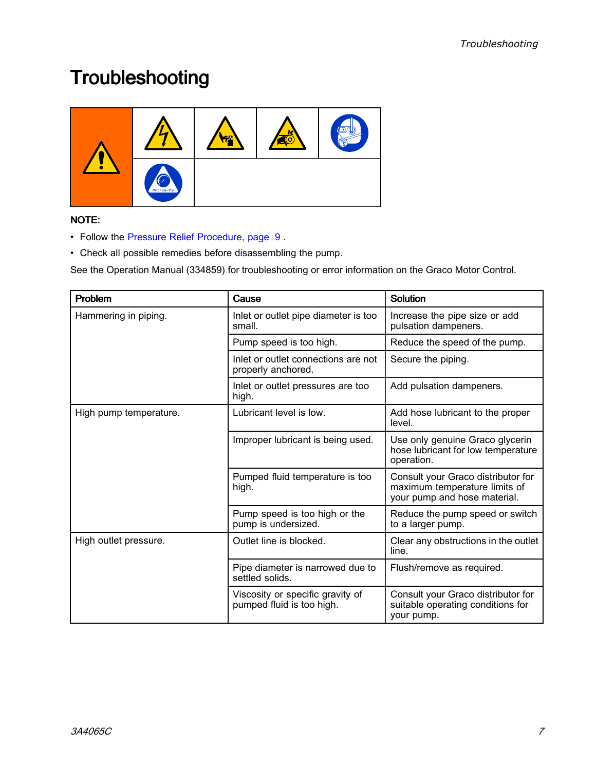# <span id="page-6-0"></span>**Troubleshooting**



### NOTE:

- Follow the Pressure Relief [Procedure,](#page-8-0) page [9](#page-8-0) .
- Check all possible remedies before disassembling the pump.

See the Operation Manual (334859) for troubleshooting or error information on the Graco Motor Control.

| Problem                | Cause                                                         | <b>Solution</b>                                                                                     |
|------------------------|---------------------------------------------------------------|-----------------------------------------------------------------------------------------------------|
| Hammering in piping.   | Inlet or outlet pipe diameter is too<br>small.                | Increase the pipe size or add<br>pulsation dampeners.                                               |
|                        | Pump speed is too high.                                       | Reduce the speed of the pump.                                                                       |
|                        | Inlet or outlet connections are not<br>properly anchored.     | Secure the piping.                                                                                  |
|                        | Inlet or outlet pressures are too<br>high.                    | Add pulsation dampeners.                                                                            |
| High pump temperature. | Lubricant level is low.                                       | Add hose lubricant to the proper<br>level.                                                          |
|                        | Improper lubricant is being used.                             | Use only genuine Graco glycerin<br>hose lubricant for low temperature<br>operation.                 |
|                        | Pumped fluid temperature is too<br>high.                      | Consult your Graco distributor for<br>maximum temperature limits of<br>your pump and hose material. |
|                        | Pump speed is too high or the<br>pump is undersized.          | Reduce the pump speed or switch<br>to a larger pump.                                                |
| High outlet pressure.  | Outlet line is blocked.                                       | Clear any obstructions in the outlet<br>line.                                                       |
|                        | Pipe diameter is narrowed due to<br>settled solids.           | Flush/remove as required.                                                                           |
|                        | Viscosity or specific gravity of<br>pumped fluid is too high. | Consult your Graco distributor for<br>suitable operating conditions for<br>your pump.               |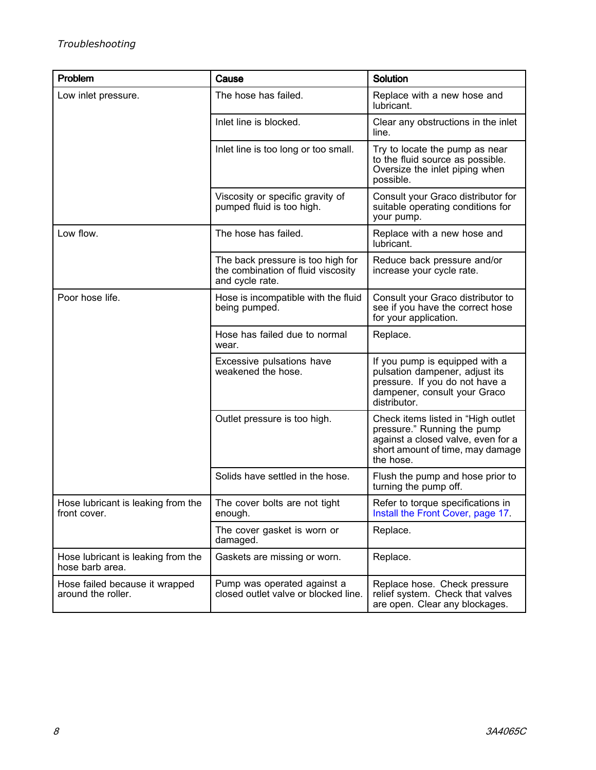| Problem                                               | Cause                                                                                      | <b>Solution</b>                                                                                                                                          |
|-------------------------------------------------------|--------------------------------------------------------------------------------------------|----------------------------------------------------------------------------------------------------------------------------------------------------------|
| Low inlet pressure.                                   | The hose has failed.                                                                       | Replace with a new hose and<br>lubricant.                                                                                                                |
|                                                       | Inlet line is blocked.                                                                     | Clear any obstructions in the inlet<br>line.                                                                                                             |
|                                                       | Inlet line is too long or too small.                                                       | Try to locate the pump as near<br>to the fluid source as possible.<br>Oversize the inlet piping when<br>possible.                                        |
|                                                       | Viscosity or specific gravity of<br>pumped fluid is too high.                              | Consult your Graco distributor for<br>suitable operating conditions for<br>your pump.                                                                    |
| Low flow.                                             | The hose has failed.                                                                       | Replace with a new hose and<br>lubricant.                                                                                                                |
|                                                       | The back pressure is too high for<br>the combination of fluid viscosity<br>and cycle rate. | Reduce back pressure and/or<br>increase your cycle rate.                                                                                                 |
| Poor hose life.                                       | Hose is incompatible with the fluid<br>being pumped.                                       | Consult your Graco distributor to<br>see if you have the correct hose<br>for your application.                                                           |
|                                                       | Hose has failed due to normal<br>wear.                                                     | Replace.                                                                                                                                                 |
|                                                       | Excessive pulsations have<br>weakened the hose.                                            | If you pump is equipped with a<br>pulsation dampener, adjust its<br>pressure. If you do not have a<br>dampener, consult your Graco<br>distributor.       |
|                                                       | Outlet pressure is too high.                                                               | Check items listed in "High outlet<br>pressure." Running the pump<br>against a closed valve, even for a<br>short amount of time, may damage<br>the hose. |
|                                                       | Solids have settled in the hose.                                                           | Flush the pump and hose prior to<br>turning the pump off.                                                                                                |
| Hose lubricant is leaking from the<br>front cover.    | The cover bolts are not tight<br>enough.                                                   | Refer to torque specifications in<br>Install the Front Cover, page 17.                                                                                   |
|                                                       | The cover gasket is worn or<br>damaged.                                                    | Replace.                                                                                                                                                 |
| Hose lubricant is leaking from the<br>hose barb area. | Gaskets are missing or worn.                                                               | Replace.                                                                                                                                                 |
| Hose failed because it wrapped<br>around the roller.  | Pump was operated against a<br>closed outlet valve or blocked line.                        | Replace hose. Check pressure<br>relief system. Check that valves<br>are open. Clear any blockages.                                                       |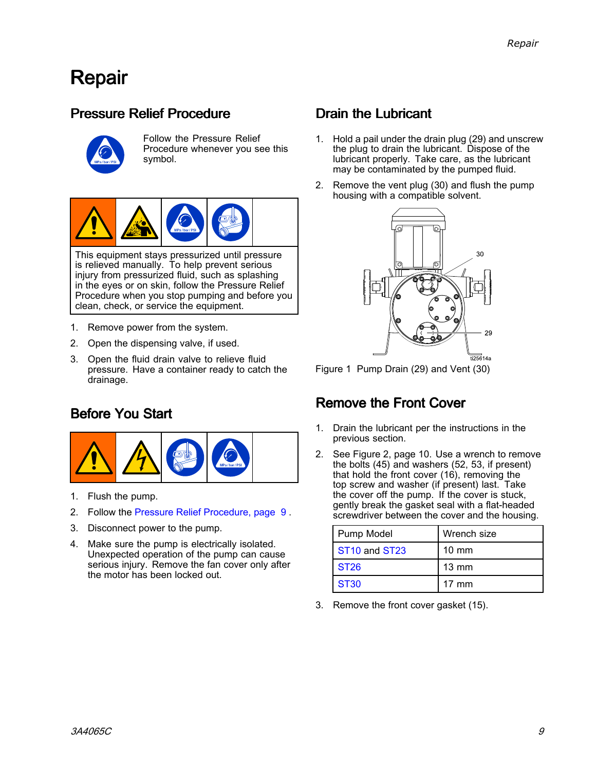## <span id="page-8-0"></span>Repair

## Pressure Relief Procedure



Follow the Pressure Relief Procedure whenever you see this symbol.



This equipment stays pressurized until pressure is relieved manually. To help prevent serious injury from pressurized fluid, such as splashing in the eyes or on skin, follow the Pressure Relief Procedure when you stop pumping and before you clean, check, or service the equipment.

- 1. Remove power from the system.
- 2. Open the dispensing valve, if used.
- 3. Open the fluid drain valve to relieve fluid pressure. Have <sup>a</sup> container ready to catch the drainage.

## Before You Start



- 1. Flush the pump.
- 2. Follow the Pressure Relief Procedure, page <sup>9</sup> .
- 3. Disconnect power to the pump.
- 4. Make sure the pump is electrically isolated. Unexpected operation of the pump can cause serious injury. Remove the fan cover only after the motor has been locked out.

## Drain the Lubricant

- 1. Hold <sup>a</sup> pail under the drain plug (29) and unscrew the plug to drain the lubricant. Dispose of the lubricant properly. Take care, as the lubricant may be contaminated by the pumped fluid.
- 2. Remove the vent plug (30) and flush the pump housing with <sup>a</sup> compatible solvent.



Figure <sup>1</sup> Pump Drain (29) and Vent (30)

## Remove the Front Cover

- 1. Drain the lubricant per the instructions in the previous section.
- 2. See Figure 2, page 10. Use <sup>a</sup> wrench to remove the bolts (45) and washers (52, 53, if present) that hold the front cover (16), removing the top screw and washer (if present) last. Take the cover off the pump. If the cover is stuck, gently break the gasket seal with <sup>a</sup> flat-headed screwdriver between the cover and the housing.

| Pump Model                            | Wrench size     |
|---------------------------------------|-----------------|
| ST <sub>10</sub> and ST <sub>23</sub> | $10 \text{ mm}$ |
| <b>ST26</b>                           | $13 \text{ mm}$ |
| <b>ST30</b>                           | $17 \text{ mm}$ |

3. Remove the front cover gasket (15).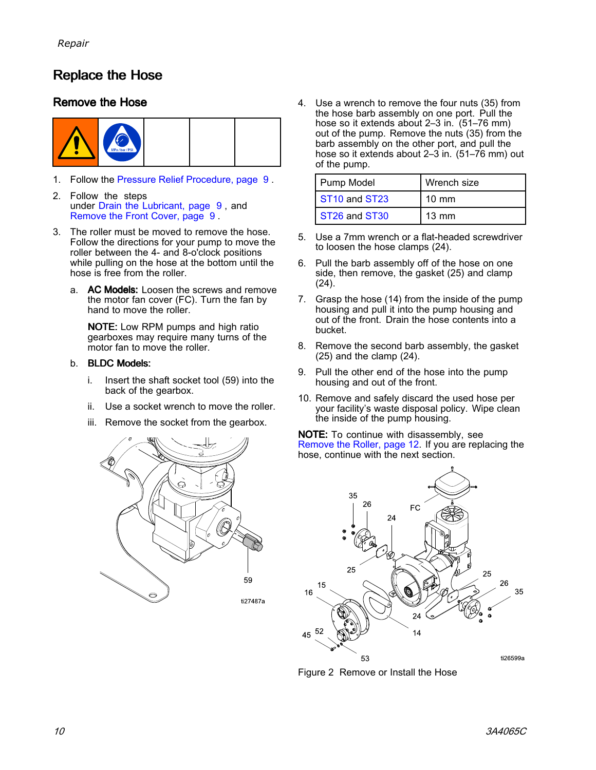## <span id="page-9-0"></span>**Replace the Hose**

#### Remove the Hose



- 1. Follow the Pressure Relief [Procedure,](#page-8-0) page [9](#page-8-0) .
- 2. Follow the steps under Drain the [Lubricant,](#page-8-0) page[9](#page-8-0) , and [Remove](#page-8-0) the Front Cover, page <sup>9</sup> .
- 3. The roller must be moved to remove the hose. Follow the directions for your pump to move the roller between the 4- and 8-o'clock positions while pulling on the hose at the bottom until the hose is free from the roller.
	- a. AC Models: Loosen the screws and remove the motor fan cover (FC). Turn the fan by hand to move the roller.

NOTE: Low RPM pumps and high ratio gearboxes may require many turns of the motor fan to move the roller.

#### b. BLDC Models:

- i. Insert the shaft socket tool (59) into the back of the gearbox.
- ii. Use <sup>a</sup> socket wrench to move the roller.
- iii. Remove the socket from the gearbox.



4. Use <sup>a</sup> wrench to remove the four nuts (35) from the hose barb assembly on one port. Pull the hose so it extends about 2–3 in. (51–76 mm) out of the pump. Remove the nuts (35) from the barb assembly on the other port, and pull the hose so it extends about 2–3 in. (51–76 mm) out of the pump.

| Pump Model                            | Wrench size     |
|---------------------------------------|-----------------|
| ST <sub>10</sub> and ST <sub>23</sub> | $10 \text{ mm}$ |
| ST <sub>26</sub> and ST <sub>30</sub> | $13 \text{ mm}$ |

- 5. Use <sup>a</sup> 7mm wrench or <sup>a</sup> flat-headed screwdriver to loosen the hose clamps (24).
- 6. Pull the barb assembly off of the hose on one side, then remove, the gasket (25) and clamp (24).
- 7. Grasp the hose (14) from the inside of the pump housing and pull it into the pump housing and out of the front. Drain the hose contents into <sup>a</sup> bucket.
- 8. Remove the second barb assembly, the gasket (25) and the clamp (24).
- 9. Pull the other end of the hose into the pump housing and out of the front.
- 10. Remove and safely discard the used hose per your facility's waste disposal policy. Wipe clean the inside of the pump housing.

NOTE: To continue with disassembly, see [Remove](#page-11-0) the Roller, page [12](#page-11-0). If you are replacing the hose, continue with the next section.



Figure <sup>2</sup> Remove or Install the Hose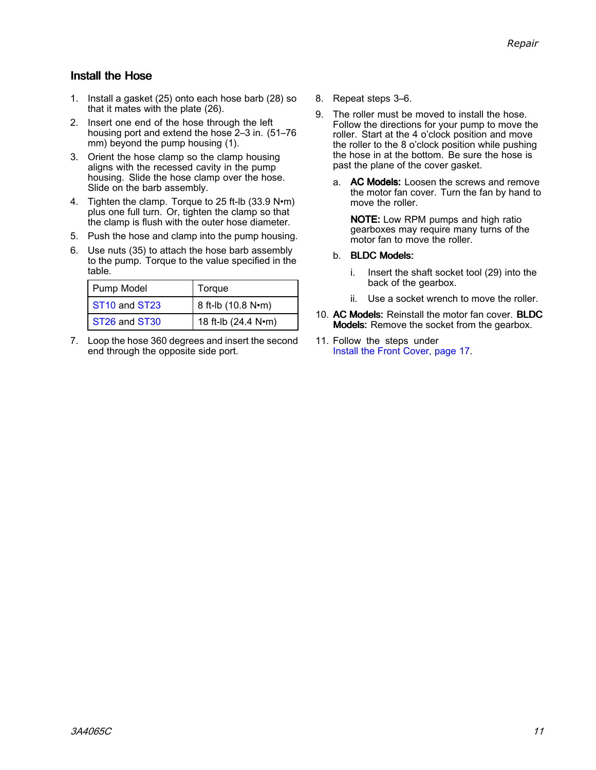#### <span id="page-10-0"></span>Install the Hose

- 1. Install <sup>a</sup> gasket (25) onto each hose barb (28) so that it mates with the plate (26).
- 2. Insert one end of the hose through the left housing port and extend the hose 2–3 in. (51–76 mm) beyond the pump housing (1).
- 3. Orient the hose clamp so the clamp housing aligns with the recessed cavity in the pump housing. Slide the hose clamp over the hose. Slide on the barb assembly.
- 4. Tighten the clamp. Torque to <sup>25</sup> ft-lb (33.9 N•m) plus one full turn. Or, tighten the clamp so that the clamp is flush with the outer hose diameter.
- 5. Push the hose and clamp into the pump housing.
- 6. Use nuts (35) to attach the hose barb assembly to the pump. Torque to the value specified in the table.

| Pump Model                            | Torque              |  |
|---------------------------------------|---------------------|--|
| ST <sub>10</sub> and ST <sub>23</sub> | 8 ft-lb (10.8 N•m)  |  |
| ST <sub>26</sub> and ST <sub>30</sub> | 18 ft-lb (24.4 N•m) |  |

7. Loop the hose <sup>360</sup> degrees and insert the second end through the opposite side port.

- 8. Repeat steps 3–6.
- 9. The roller must be moved to install the hose. Follow the directions for your pump to move the roller. Start at the <sup>4</sup> <sup>o</sup>'clock position and move the roller to the <sup>8</sup> <sup>o</sup>'clock position while pushing the hose in at the bottom. Be sure the hose is past the plane of the cover gasket.
	- a. AC Models: Loosen the screws and remove the motor fan cover. Turn the fan by hand to move the roller.

NOTE: Low RPM pumps and high ratio gearboxes may require many turns of the motor fan to move the roller.

#### b. BLDC Models:

- i. Insert the shaft socket tool (29) into the back of the gearbox.
- ii. Use <sup>a</sup> socket wrench to move the roller.
- 10. AC Models: Reinstall the motor fan cover. BLDC Models: Remove the socket from the gearbox.
- 11. Follow the steps under Install the Front [Cover,](#page-15-0) page [17](#page-16-0).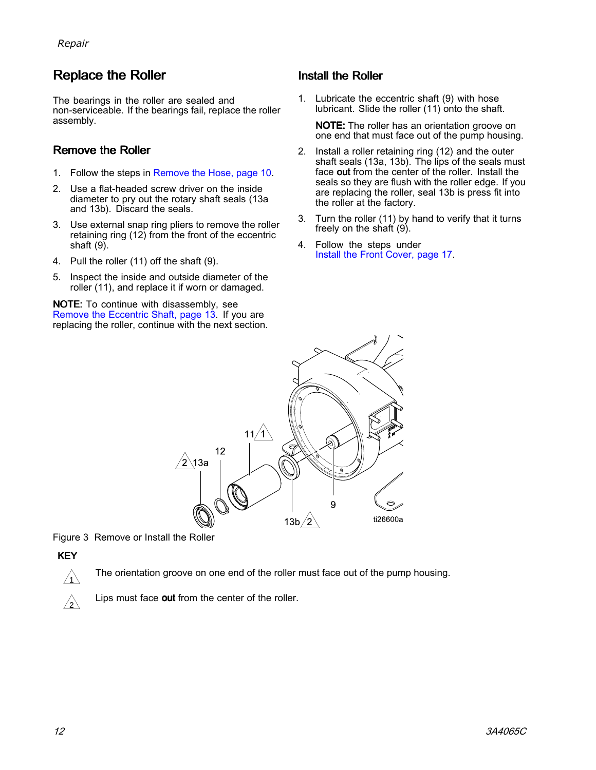## <span id="page-11-0"></span>**Replace the Roller**

The bearings in the roller are sealed and non-serviceable. If the bearings fail, replace the roller assembly.

#### Remove the Roller

- 1. Follow the steps in [Remove](#page-9-0) the Hose, page [10](#page-9-0).
- 2. Use <sup>a</sup> flat-headed screw driver on the inside diameter to pry out the rotary shaft seals (13a and 13b). Discard the seals.
- 3. Use external snap ring pliers to remove the roller retaining ring  $(12)$  from the front of the eccentric shaft (9).
- 4. Pull the roller (11) off the shaft (9).
- 5. Inspect the inside and outside diameter of the roller (11), and replace it if worn or damaged.

NOTE: To continue with disassembly, see Remove the [Eccentric](#page-12-0) Shaft, page [13](#page-12-0). If you are replacing the roller, continue with the next section.

#### Install the Roller

1. Lubricate the eccentric shaft (9) with hose lubricant. Slide the roller (11) onto the shaft.

NOTE: The roller has an orientation groove on one end that must face out of the pump housing.

- 2. Install <sup>a</sup> roller retaining ring (12) and the outer shaft seals (13a, 13b). The lips of the seals must face out from the center of the roller. Install the seals so they are flush with the roller edge. If you are replacing the roller, seal 13b is press fit into the roller at the factory.
- 3. Turn the roller (11) by hand to verify that it turns freely on the shaft (9).
- 4. Follow the steps under Install the Front [Cover,](#page-15-0) page [17](#page-16-0).



Figure <sup>3</sup> Remove or Install the Roller

#### KEY

The orientation groove on one end of the roller must face out of the pump housing.



Lips must face out from the center of the roller.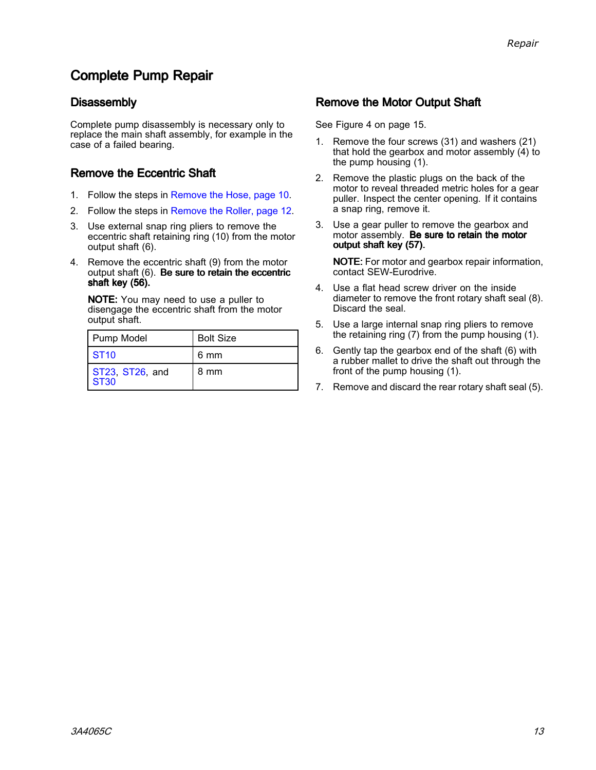## <span id="page-12-0"></span>**Complete Pump Repair**

#### **Disassembly**

Complete pump disassembly is necessary only to replace the main shaft assembly, for example in the case of <sup>a</sup> failed bearing.

#### Remove the Eccentric Shaft

- 1. Follow the steps in [Remove](#page-9-0) the Hose, page [10](#page-9-0).
- 2. Follow the steps in [Remove](#page-11-0) the Roller, page [12](#page-11-0).
- 3. Use external snap ring pliers to remove the eccentric shaft retaining ring (10) from the motor output shaft (6).
- 4. Remove the eccentric shaft (9) from the motor output shaft  $(6)$ . Be sure to retain the eccentric shaft key (56).

NOTE: You may need to use <sup>a</sup> puller to disengage the eccentric shaft from the motor output shaft.

| Pump Model                     | <b>Bolt Size</b> |
|--------------------------------|------------------|
| $\sqrt{ST10}$                  | 6 mm             |
| ST23, ST26, and<br><b>ST30</b> | 8 mm             |

#### Remove the Motor Output Shaft

See Figure <sup>4</sup> on page 15.

- 1. Remove the four screws (31) and washers (21) that hold the gearbox and motor assembly (4) to the pump housing (1).
- 2. Remove the plastic plugs on the back of the motor to reveal threaded metric holes for <sup>a</sup> gear puller. Inspect the center opening. If it contains <sup>a</sup> snap ring, remove it.
- 3. Use <sup>a</sup> gear puller to remove the gearbox and motor assembly. Be sure to retain the motor output shaft key (57).

NOTE: For motor and gearbox repair information, contact SEW-Eurodrive.

- 4. Use <sup>a</sup> flat head screw driver on the inside diameter to remove the front rotary shaft seal (8). Discard the seal.
- 5. Use <sup>a</sup> large internal snap ring pliers to remove the retaining ring (7) from the pump housing (1).
- 6. Gently tap the gearbox end of the shaft (6) with <sup>a</sup> rubber mallet to drive the shaft out through the front of the pump housing (1).
- 7. Remove and discard the rear rotary shaft seal (5).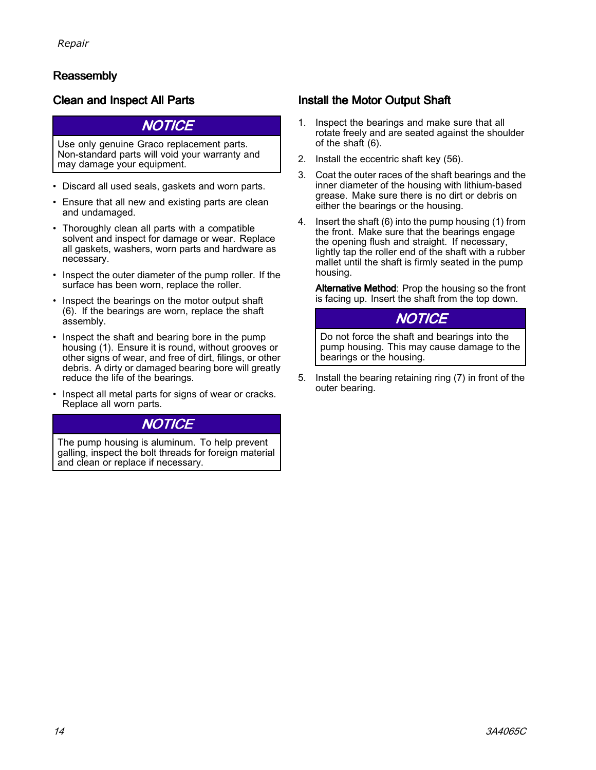### Reassembly

### Clean and Inspect All Parts

#### **NOTICE**

Use only genuine Graco replacement parts. Non-standard parts will void your warranty and may damage your equipment.

- Discard all used seals, gaskets and worn parts.
- Ensure that all new and existing parts are clean and undamaged.
- Thoroughly clean all parts with <sup>a</sup> compatible solvent and inspect for damage or wear. Replace all gaskets, washers, worn parts and hardware as necessary.
- Inspect the outer diameter of the pump roller. If the<br>surface has been worn, replace the roller surface has been worn, replace the roller.
- Inspect the bearings on the motor output shaft<br>(6) If the bearings are worn, replace the shaft (6). If the bearings are worn, replace the shaft assembly.
- Inspect the shaft and bearing bore in the pump bousing  $(1)$ . Ensure it is round without grooves housing (1). Ensure it is round, without grooves or other signs of wear, and free of dirt, filings, or other debris. <sup>A</sup> dirty or damaged bearing bore will greatly reduce the life of the bearings.
- Inspect all metal parts for signs of wear or cracks. Replace all worn parts.

### **NOTICE**

The pump housing is aluminum. To help prevent galling, inspect the bolt threads for foreign material and clean or replace if necessary.

### Install the Motor Output Shaft

- 1. Inspect the bearings and make sure that all rotate freely and are seated against the shoulder of the shaft (6).
- 2. Install the eccentric shaft key (56).
- 3. Coat the outer races of the shaft bearings and the inner diameter of the housing with lithium-based grease. Make sure there is no dirt or debris on either the bearings or the housing.
- 4. Insert the shaft (6) into the pump housing (1) from the front. Make sure that the bearings engage the opening flush and straight. If necessary, lightly tap the roller end of the shaft with <sup>a</sup> rubber mallet until the shaft is firmly seated in the pump housing.

Alternative Method: Prop the housing so the front is facing up. Insert the shaft from the top down.

### **NOTICE**

Do not force the shaft and bearings into the pump housing. This may cause damage to the bearings or the housing.

5. Install the bearing retaining ring (7) in front of the outer bearing.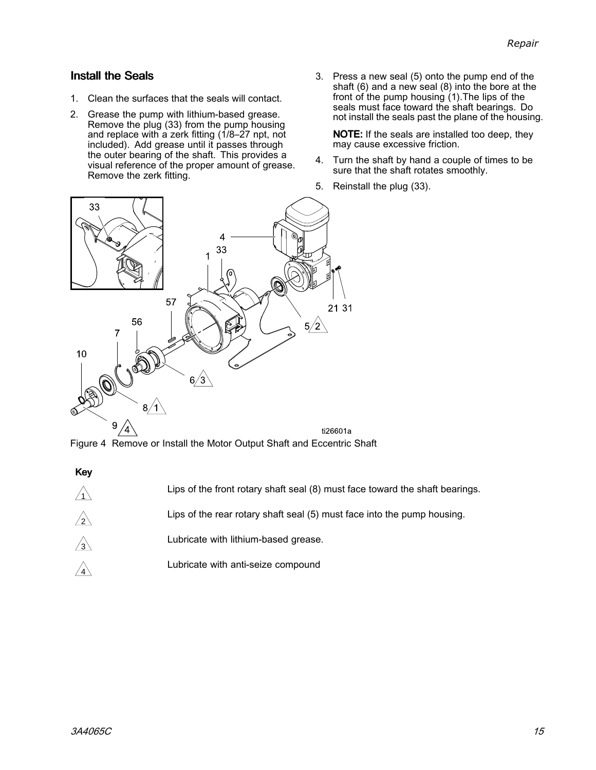#### Install the Seals

- 1. Clean the surfaces that the seals will contact.
- 2. Grease the pump with lithium-based grease. Remove the plug (33) from the pump housing and replace with a zerk fitting (1/8-27 npt, not included). Add grease until it passes through the outer bearing of the shaft. This provides a visual reference of the proper amount of grease. Remove the zerk fitting.
- 3. Press <sup>a</sup> new seal (5) onto the pump end of the shaft (6) and <sup>a</sup> new seal (8) into the bore at the front of the pump housing (1).The lips of the seals must face toward the shaft bearings. Do<br>not install the seals past the plane of the bousir not install the seals past the plane of the housing.

NOTE: If the seals are installed too deep, they may cause excessive friction.

- 4. Turn the shaft by hand <sup>a</sup> couple of times to be sure that the shaft rotates smoothly.
- 5. Reinstall the plug (33).



Figure <sup>4</sup> Remove or Install the Motor Output Shaft and Eccentric Shaft

| <b>Key</b> |                                                                              |
|------------|------------------------------------------------------------------------------|
|            | Lips of the front rotary shaft seal (8) must face toward the shaft bearings. |
| /2         | Lips of the rear rotary shaft seal (5) must face into the pump housing.      |
| /3         | Lubricate with lithium-based grease.                                         |
|            | Lubricate with anti-seize compound                                           |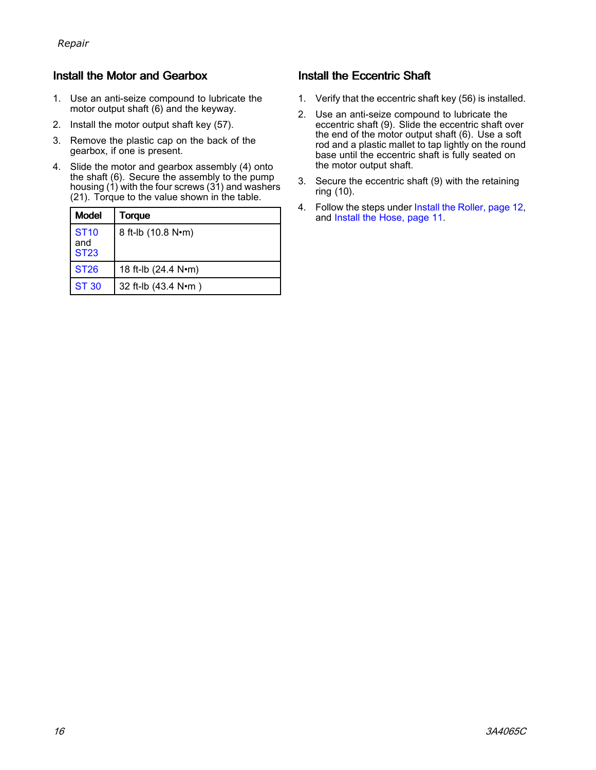### <span id="page-15-0"></span>Install the Motor and Gearbox

- 1. Use an anti-seize compound to lubricate the motor output shaft (6) and the keyway.
- 2. Install the motor output shaft key (57).
- 3. Remove the plastic cap on the back of the gearbox, if one is present.
- 4. Slide the motor and gearbox assembly (4) onto the shaft (6). Secure the assembly to the pump housing (1) with the four screws (31) and washers (21). Torque to the value shown in the table.

| <b>Model</b>                                 | Torque              |
|----------------------------------------------|---------------------|
| <b>ST<sub>10</sub></b><br>and<br><b>ST23</b> | 8 ft-lb (10.8 N•m)  |
| <b>ST26</b>                                  | 18 ft-lb (24.4 N•m) |
| <b>ST 30</b>                                 | 32 ft-lb (43.4 N•m) |

### Install the Eccentric Shaft

- 1. Verify that the eccentric shaft key (56) is installed.
- 2. Use an anti-seize compound to lubricate the eccentric shaft (9). Slide the eccentric shaft over the end of the motor output shaft (6). Use <sup>a</sup> soft rod and a plastic mallet to tap lightly on the round base until the eccentric shaft is fully seated on the motor output shaft.
- 3. Secure the eccentric shaft (9) with the retaining ring (10).
- 4. Follow the steps under Install the [Roller,](#page-11-0) page [12](#page-11-0), and Install the [Hose,](#page-10-0) page [11](#page-10-0).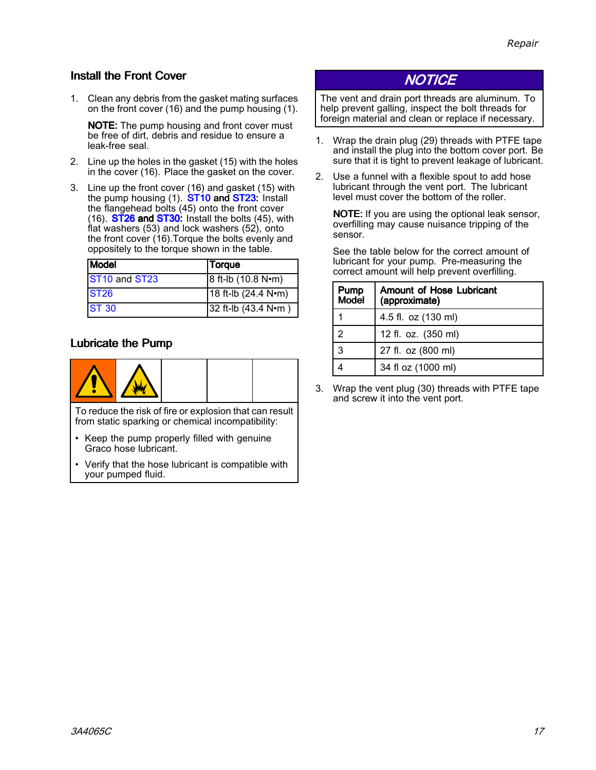### <span id="page-16-0"></span>Install the Front Cover

1. Clean any debris from the gasket mating surfaces on the front cover (16) and the pump housing (1).

NOTE: The pump housing and front cover must be free of dirt, debris and residue to ensure <sup>a</sup> leak-free seal.

- 2. Line up the holes in the gasket (15) with the holes in the cover (16). Place the gasket on the cover.
- 3. Line up the front cover (16) and gasket (15) with the pump housing (1). **ST10 and ST23:** Install the flangehead bolts (45) onto the front cover (16).  $ST26$  and  $ST30$ : Install the bolts (45), with flat washers (53) and lock washers (52), onto the front cover (16).Torque the bolts evenly and oppositely to the torque shown in the table.

| <b>Model</b>                          | <b>Torque</b>       |
|---------------------------------------|---------------------|
| ST <sub>10</sub> and ST <sub>23</sub> | 8 ft-lb (10.8 N•m)  |
| <b>ST26</b>                           | 18 ft-lb (24.4 N•m) |
| <b>ST 30</b>                          | 32 ft-lb (43.4 N•m) |

### Lubricate the Pump



To reduce the risk of fire or explosion that can result from static sparking or chemical incompatibility:

- • Keep the pump properly filled with genuine Graco hose lubricant.
- Verify that the hose lubricant is compatible with your pumped fluid.

## **NOTICE**

The vent and drain port threads are aluminum. To help prevent galling, inspect the bolt threads for foreign material and clean or replace if necessary.

- 1. Wrap the drain plug (29) threads with PTFE tape and install the plug into the bottom cover port. Be sure that it is tight to prevent leakage of lubricant.
- 2. Use <sup>a</sup> funnel with <sup>a</sup> flexible spout to add hose lubricant through the vent port. The lubricant level must cover the bottom of the roller.

NOTE: If you are using the optional leak sensor, overfilling may cause nuisance tripping of the sensor.

See the table below for the correct amount of lubricant for your pump. Pre-measuring the correct amount will help prevent overfilling.

| Pump<br><b>Model</b> | <b>Amount of Hose Lubricant</b><br>(approximate) |
|----------------------|--------------------------------------------------|
|                      | 4.5 fl. oz (130 ml)                              |
| 2                    | 12 fl. oz. (350 ml)                              |
| 3                    | 27 fl. oz (800 ml)                               |
|                      | 34 fl oz (1000 ml)                               |

3. Wrap the vent plug (30) threads with PTFE tape and screw it into the vent port.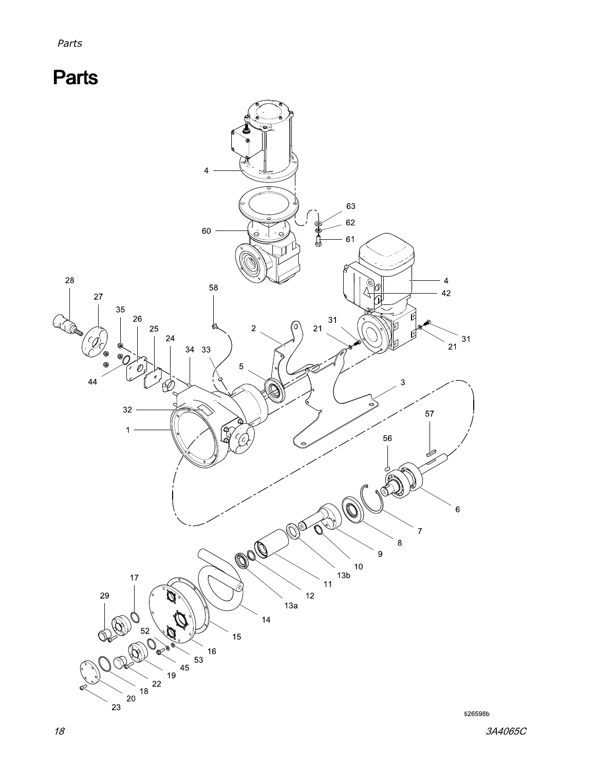# <span id="page-17-0"></span>**Parts**

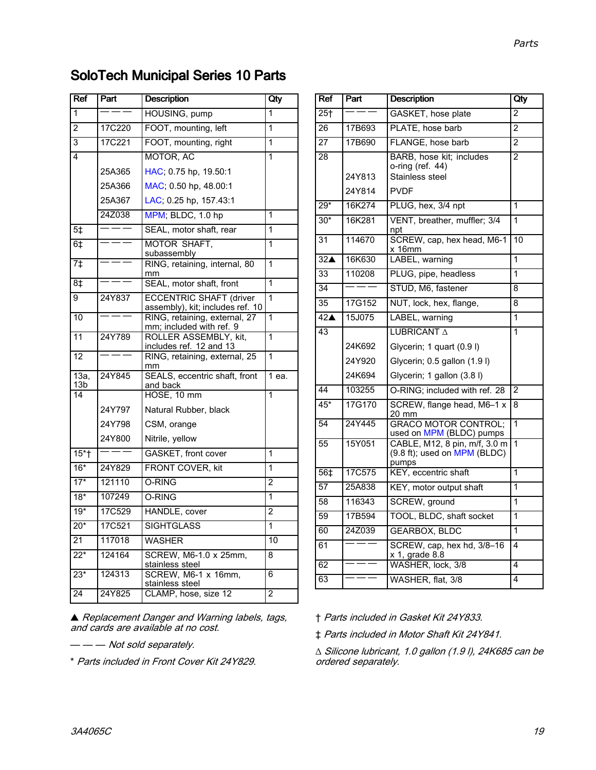## SoloTech Municipal Series 10 Parts

| <b>Ref</b>        | Part   | <b>Description</b>                                                 | Qty            |
|-------------------|--------|--------------------------------------------------------------------|----------------|
| $\mathbf{1}$      |        | HOUSING, pump                                                      | 1              |
| $\overline{2}$    | 17C220 | FOOT, mounting, left                                               | $\overline{1}$ |
| 3                 | 17C221 | FOOT, mounting, right                                              | 1              |
| 4                 |        | MOTOR, AC                                                          | $\overline{1}$ |
|                   | 25A365 | HAC; 0.75 hp, 19.50:1                                              |                |
|                   | 25A366 | MAC; 0.50 hp, 48.00:1                                              |                |
|                   | 25A367 | LAC; 0.25 hp, 157.43:1                                             |                |
|                   | 24Z038 | MPM; BLDC, 1.0 hp                                                  | 1              |
| 5 <sup>†</sup>    | ====   | SEAL, motor shaft, rear                                            | 1              |
| 6‡                | ———    | <b>MOTOR SHAFT.</b><br>subassembly                                 | $\mathbf{1}$   |
| 7 <sup>†</sup>    |        | RING, retaining, internal, 80<br>mm                                | 1              |
| 8‡                |        | SEAL, motor shaft, front                                           | 1              |
| 9                 | 24Y837 | <b>ECCENTRIC SHAFT (driver</b><br>assembly), kit; includes ref. 10 | 1              |
| 10                |        | RING, retaining, external, 27<br>mm; included with ref. 9          | 1              |
| 11                | 24Y789 | ROLLER ASSEMBLY, kit,<br>includes ref. 12 and 13                   | 1              |
| 12                |        | RING, retaining, external, 25<br>mm                                | 1              |
| 13a,<br>13b       | 24Y845 | SEALS, eccentric shaft, front<br>and back                          | 1 ea.          |
| 14                |        | HOSE, 10 mm                                                        | $\overline{1}$ |
|                   | 24Y797 | Natural Rubber, black                                              |                |
|                   | 24Y798 | CSM, orange                                                        |                |
|                   | 24Y800 | Nitrile, yellow                                                    |                |
| $15+$             | $  -$  | GASKET, front cover                                                | 1              |
| $16*$             | 24Y829 | FRONT COVER, kit                                                   | 1              |
| $\overline{17^*}$ | 121110 | O-RING                                                             | $\overline{2}$ |
| $18*$             | 107249 | O-RING                                                             | 1              |
| $19*$             | 17C529 | HANDLE, cover                                                      | $\overline{2}$ |
| $20*$             | 17C521 | <b>SIGHTGLASS</b>                                                  | 1              |
| $\overline{21}$   | 117018 | <b>WASHER</b>                                                      | 10             |
| $22*$             | 124164 | SCREW, M6-1.0 x 25mm,<br>stainless steel                           | 8              |
| $23*$             | 124313 | SCREW, M6-1 x 16mm,<br>stainless steel                             | 6              |
| 24                | 24Y825 | CLAMP, hose, size 12                                               | $\overline{2}$ |

**▲ Replacement Danger and Warning labels, tags,** and cards are available at no cost.

— — Not sold separately.

\* Parts included in Front Cover Kit 24Y829.

| Ref                | Part             | <b>Description</b>                                                                | Qty             |
|--------------------|------------------|-----------------------------------------------------------------------------------|-----------------|
| $25+$              |                  | GASKET, hose plate                                                                | $\overline{2}$  |
| 26                 | 17B693           | PLATE, hose barb                                                                  | $\overline{2}$  |
| 27                 | 17B690           | FLANGE, hose barb                                                                 | 2               |
| $\overline{2}8$    | 24Y813<br>24Y814 | BARB, hose kit; includes<br>o-ring (ref. 44)<br>Stainless steel<br><b>PVDF</b>    | $\mathfrak{p}$  |
| $29*$              | 16K274           | PLUG, hex, 3/4 npt                                                                | 1               |
| $30*$              | 16K281           | VENT, breather, muffler; 3/4<br>npt                                               | 1               |
| 31                 | 114670           | SCREW, cap, hex head, M6-1<br>x 16mm                                              | $\overline{10}$ |
| $32^$              | 16K630           | LABEL, warning                                                                    | $\overline{1}$  |
| 33                 | 110208           | PLUG, pipe, headless                                                              | $\overline{1}$  |
| 34                 |                  | STUD, M6, fastener                                                                | 8               |
| 35                 | 17G152           | NUT, lock, hex, flange,                                                           | 8               |
| $42\blacktriangle$ | 15J075           | LABEL, warning                                                                    | 1               |
| $\overline{43}$    |                  | LUBRICANT A                                                                       | $\overline{1}$  |
|                    | 24K692           | Glycerin; 1 quart (0.9 l)                                                         |                 |
|                    | 24Y920           | Glycerin; 0.5 gallon (1.9 l)                                                      |                 |
|                    | 24K694           | Glycerin; 1 gallon (3.8 l)                                                        |                 |
| 44                 | 103255           | O-RING; included with ref. 28                                                     | $\mathfrak{p}$  |
| $45*$              | 17G170           | SCREW, flange head, M6-1 x<br>20 mm                                               | 8               |
| 54                 | 24Y445           | <b>GRACO MOTOR CONTROL;</b><br>used on MPM (BLDC) pumps                           | 1               |
| $\overline{55}$    | 15Y051           | CABLE, M12, 8 pin, m/f, 3.0 m<br>$(9.8 \text{ ft})$ ; used on MPM (BLDC)<br>pumps | 1               |
| 56‡                | 17C575           | KEY, eccentric shaft                                                              | $\overline{1}$  |
| 57                 | 25A838           | KEY, motor output shaft                                                           | 1               |
| 58                 | 116343           | SCREW, ground                                                                     | 1               |
| 59                 | 17B594           | TOOL, BLDC, shaft socket                                                          | 1               |
| 60                 | 24Z039           | <b>GEARBOX, BLDC</b>                                                              | 1               |
| 61                 |                  | SCREW, cap, hex hd, 3/8-16<br>x 1, grade 8.8                                      | 4               |
| 62                 |                  | WASHER, lock, 3/8                                                                 | 4               |
| 63                 |                  | WASHER, flat, 3/8                                                                 | 4               |

† Parts included in Gasket Kit 24Y833.

‡ Parts included in Motor Shaft Kit 24Y841.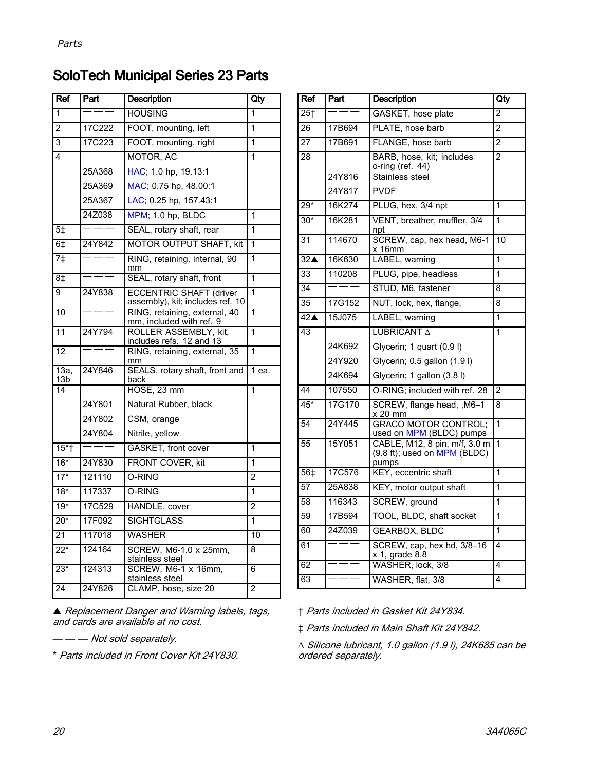## SoloTech Municipal Series 23 Parts

| Ref                    | Part   | <b>Description</b>                                                 | Qty            |
|------------------------|--------|--------------------------------------------------------------------|----------------|
| 1                      |        | <b>HOUSING</b>                                                     | 1              |
| $\overline{2}$         | 17C222 | FOOT, mounting, left                                               | 1              |
| 3                      | 17C223 | FOOT, mounting, right                                              | 1              |
| 4                      |        | MOTOR, AC                                                          | 1              |
|                        | 25A368 | HAC; 1.0 hp, 19.13:1                                               |                |
|                        | 25A369 | MAC; 0.75 hp, 48.00:1                                              |                |
|                        | 25A367 | LAC; 0.25 hp, 157.43:1                                             |                |
|                        | 24Z038 | MPM; 1.0 hp, BLDC                                                  | 1              |
| 5 <sup>†</sup>         |        | SEAL, rotary shaft, rear                                           | 1              |
| $6+$                   | 24Y842 | <b>MOTOR OUTPUT SHAFT, kit</b>                                     | 1              |
| $\overline{7\ddagger}$ |        | RING, retaining, internal, 90<br>mm                                | 1              |
| $\overline{8}$         |        | SEAL, rotary shaft, front                                          | 1              |
| 9                      | 24Y838 | <b>ECCENTRIC SHAFT (driver</b><br>assembly), kit; includes ref. 10 | 1              |
| 10                     |        | RING, retaining, external, 40<br>mm, included with ref. 9          | 1              |
| 11                     | 24Y794 | ROLLER ASSEMBLY, kit,<br>includes refs. 12 and 13                  | 1              |
| 12                     |        | RING, retaining, external, 35<br>mm                                | 1              |
| 13a<br>13b             | 24Y846 | SEALS, rotary shaft, front and<br>back                             | 1 ea.          |
| 14                     |        | H <sub>OSE</sub> , 23 mm                                           | 1              |
|                        | 24Y801 | Natural Rubber, black                                              |                |
|                        | 24Y802 | CSM, orange                                                        |                |
|                        | 24Y804 | Nitrile, yellow                                                    |                |
| $15*$                  |        | GASKET, front cover                                                | 1              |
| $16*$                  | 24Y830 | FRONT COVER, kit                                                   | 1              |
| $17*$                  | 121110 | O-RING                                                             | $\overline{2}$ |
| $18*$                  | 117337 | O-RING                                                             | 1              |
| $19*$                  | 17C529 | HANDLE, cover                                                      | 2              |
| $20*$                  | 17F092 | <b>SIGHTGLASS</b>                                                  | 1              |
| 21                     | 117018 | <b>WASHER</b>                                                      | 10             |
| $22*$                  | 124164 | SCREW, M6-1.0 x 25mm,<br>stainless steel                           | 8              |
| $23*$                  | 124313 | SCREW, M6-1 x 16mm,<br>stainless steel                             | 6              |
| 24                     | 24Y826 | CLAMP, hose, size 20                                               | $\overline{2}$ |

▲ Replacement Danger and Warning labels, tags,<br>and cards are available at no cost and cards are available at no cost.

— — — Not sold separately.

\* Parts included in Front Cover Kit 24Y830.

| <b>Ref</b>         | Part             | <b>Description</b>                                                              | Qty            |
|--------------------|------------------|---------------------------------------------------------------------------------|----------------|
| $25+$              |                  | GASKET, hose plate                                                              | $\overline{2}$ |
| 26                 | 17B694           | PLATE, hose barb                                                                | $\mathfrak{p}$ |
| 27                 | 17B691           | FLANGE, hose barb                                                               | $\overline{2}$ |
| 28                 | 24Y816<br>24Y817 | BARB, hose, kit; includes<br>o-ring (ref. 44)<br>Stainless steel<br><b>PVDF</b> | 2              |
| $29*$              | 16K274           | PLUG, hex, 3/4 npt                                                              | 1              |
| $30*$              | 16K281           | VENT, breather, muffler, 3/4                                                    | 1              |
|                    |                  | npt                                                                             |                |
| 31                 | 114670           | SCREW, cap, hex head, M6-1<br>x 16mm                                            | 10             |
| 32 <sub>4</sub>    | 16K630           | LABEL, warning                                                                  | 1              |
| 33                 | 110208           | PLUG, pipe, headless                                                            | 1              |
| 34                 |                  | STUD, M6, fastener                                                              | 8              |
| 35                 | 17G152           | NUT, lock, hex, flange,                                                         | 8              |
| $42\blacktriangle$ | 15J075           | LABEL, warning                                                                  | 1              |
| 43                 |                  | LUBRICANT A                                                                     | 1              |
|                    | 24K692           | Glycerin; 1 quart (0.9 l)                                                       |                |
|                    | 24Y920           | Glycerin; 0.5 gallon (1.9 l)                                                    |                |
|                    | 24K694           | Glycerin; 1 gallon (3.8 l)                                                      |                |
| 44                 | 107550           | O-RING; included with ref. 28                                                   | $\overline{2}$ |
| $45*$              | 17G170           | SCREW, flange head, , M6-1<br>x 20 mm                                           | 8              |
| 54                 | 24Y445           | <b>GRACO MOTOR CONTROL;</b><br>used on MPM (BLDC) pumps                         | 1              |
| 55                 | 15Y051           | CABLE, M12, 8 pin, m/f, 3.0 m<br>(9.8 ft); used on MPM (BLDC)<br>pumps          | 1              |
| 56 <sup>†</sup>    | 17C576           | KEY, eccentric shaft                                                            | 1              |
| $\overline{57}$    | 25A838           | KEY, motor output shaft                                                         | 1              |
| 58                 | 116343           | SCREW, ground                                                                   | 1              |
| 59                 | 17B594           | TOOL, BLDC, shaft socket                                                        | 1              |
| 60                 | 24Z039           | <b>GEARBOX, BLDC</b>                                                            | 1              |
| 61                 |                  | SCREW, cap, hex hd, 3/8-16<br>x 1, grade 8.8                                    | 4              |
| 62                 | Ξ.               | WASHER, lock, 3/8                                                               | 4              |
| 63                 |                  | WASHER, flat, 3/8                                                               | 4              |

† Parts included in Gasket Kit 24Y834.

‡ Parts included in Main Shaft Kit 24Y842.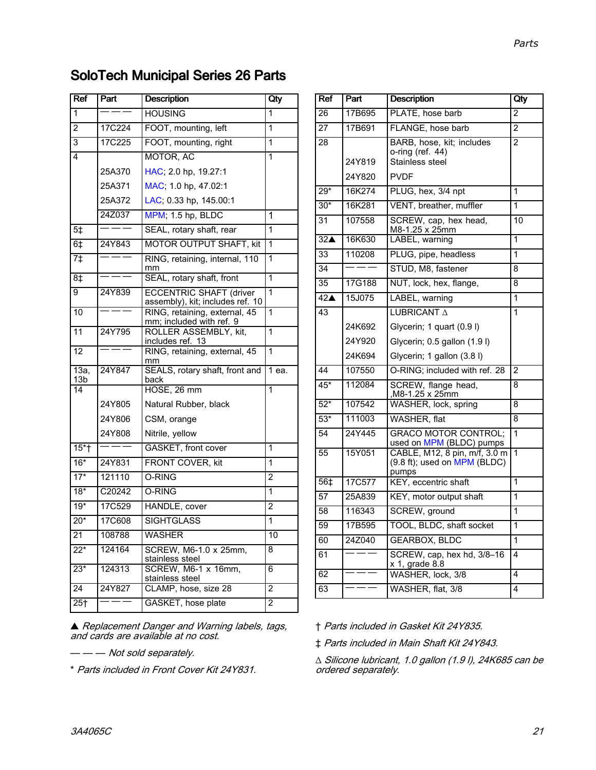## SoloTech Municipal Series 26 Parts

| Ref                        | Part    | <b>Description</b>                                                 | Qty            |
|----------------------------|---------|--------------------------------------------------------------------|----------------|
| 1                          | ---     | <b>HOUSING</b>                                                     | 1              |
| $\overline{2}$             | 17C224  | FOOT, mounting, left                                               | 1              |
| 3                          | 17C225  | FOOT, mounting, right                                              | $\mathbf{1}$   |
| 4                          |         | MOTOR, AC                                                          | 1              |
|                            | 25A370  | HAC; 2.0 hp, 19.27:1                                               |                |
|                            | 25A371  | MAC; 1.0 hp, 47.02:1                                               |                |
|                            | 25A372  | LAC; 0.33 hp, 145.00:1                                             |                |
|                            | 24Z037  | MPM; 1.5 hp, BLDC                                                  | 1              |
| 5 <sup>‡</sup>             |         | SEAL, rotary shaft, rear                                           | 1              |
| 6‡                         | 24Y843  | <b>MOTOR OUTPUT SHAFT, kit</b>                                     | $\mathbf{1}$   |
| 7 <sup>†</sup>             |         | RING, retaining, internal, 110<br>mm                               | 1              |
| 8‡                         |         | SEAL, rotary shaft, front                                          | $\overline{1}$ |
| 9                          | 24Y839  | <b>ECCENTRIC SHAFT (driver</b><br>assembly), kit; includes ref. 10 | $\overline{1}$ |
| 10                         |         | RING, retaining, external, 45<br>mm; included with ref. 9          | 1              |
| 11                         | 24Y795  | ROLLER ASSEMBLY, kit,<br>includes ref. 13                          | 1              |
| 12                         |         | RING, retaining, external, 45<br>mm                                | 1              |
| $13a$ ,<br>13 <sub>b</sub> | 24Y847  | SEALS, rotary shaft, front and<br>back                             | 1 ea.          |
| 14                         |         | HOSE, 26 mm                                                        | $\overline{1}$ |
|                            | 24Y805  | Natural Rubber, black                                              |                |
|                            | 24Y806  | CSM, orange                                                        |                |
|                            | 24Y808  | Nitrile, yellow                                                    |                |
| $15*$                      | $=$ $-$ | GASKET, front cover                                                | 1              |
| $16*$                      | 24Y831  | FRONT COVER, kit                                                   | 1              |
| $17*$                      | 121110  | O-RING                                                             | $\overline{2}$ |
| $18*$                      | C20242  | O-RING                                                             | 1              |
| $19*$                      | 17C529  | HANDLE, cover                                                      | $\overline{2}$ |
| $20*$                      | 17C608  | <b>SIGHTGLASS</b>                                                  | $\mathbf{1}$   |
| $\overline{21}$            | 108788  | <b>WASHER</b>                                                      | 10             |
| $22*$                      | 124164  | SCREW, M6-1.0 x 25mm,<br>stainless steel                           | 8              |
| $23*$                      | 124313  | SCREW, M6-1 x 16mm,<br>stainless steel                             | 6              |
| $\overline{24}$            | 24Y827  | CLAMP, hose, size 28                                               | $\overline{2}$ |
| 25 <sub>†</sub>            |         | GASKET, hose plate                                                 | $\overline{2}$ |

▲ Replacement Danger and Warning labels, tags,<br>and cards are available at no cost. and cards are available at no cost.

— — — Not sold separately.

\* Parts included in Front Cover Kit 24Y831.

| Ref                | Part   | <b>Description</b>                                                     | Qty                     |
|--------------------|--------|------------------------------------------------------------------------|-------------------------|
| 26                 | 17B695 | PLATE, hose barb                                                       | 2                       |
| 27                 | 17B691 | FLANGE, hose barb                                                      | $\overline{2}$          |
| 28                 |        | BARB, hose, kit; includes<br>o-ring (ref. 44)                          | $\overline{2}$          |
|                    | 24Y819 | Stainless steel                                                        |                         |
|                    | 24Y820 | <b>PVDF</b>                                                            |                         |
| $29*$              | 16K274 | PLUG, hex, 3/4 npt                                                     | 1                       |
| $30*$              | 16K281 | VENT, breather, muffler                                                | 1                       |
| 31                 | 107558 | SCREW, cap, hex head,<br>M8-1.25 x 25mm                                | 10                      |
| 32 <sub>A</sub>    | 16K630 | LABEL, warning                                                         | $\overline{1}$          |
| 33                 | 110208 | PLUG, pipe, headless                                                   | 1                       |
| 34                 |        | STUD, M8, fastener                                                     | 8                       |
| 35                 | 17G188 | NUT, lock, hex, flange,                                                | 8                       |
| $42\blacktriangle$ | 15J075 | LABEL, warning                                                         | 1                       |
| 43                 |        | LUBRICANT A                                                            | 1                       |
|                    | 24K692 | Glycerin; 1 quart (0.9 l)                                              |                         |
|                    | 24Y920 | Glycerin; 0.5 gallon (1.9 l)                                           |                         |
|                    | 24K694 | Glycerin; 1 gallon (3.8 l)                                             |                         |
| 44                 | 107550 | O-RING; included with ref. 28                                          | $\overline{2}$          |
| $45*$              | 112084 | SCREW, flange head,<br>M8-1.25 x 25mm,                                 | 8                       |
| $52*$              | 107542 | WASHER, lock, spring                                                   | 8                       |
| $53*$              | 111003 | WASHER, flat                                                           | 8                       |
| 54                 | 24Y445 | <b>GRACO MOTOR CONTROL;</b><br>used on MPM (BLDC) pumps                | 1                       |
| 55                 | 15Y051 | CABLE, M12, 8 pin, m/f, 3.0 m<br>(9.8 ft); used on MPM (BLDC)<br>pumps | 1                       |
| 56‡                | 17C577 | KEY, eccentric shaft                                                   | 1                       |
| 57                 | 25A839 | KEY, motor output shaft                                                | 1                       |
| 58                 | 116343 | SCREW, ground                                                          | 1                       |
| 59                 | 17B595 | TOOL, BLDC, shaft socket                                               | $\overline{1}$          |
| 60                 | 24Z040 | <b>GEARBOX, BLDC</b>                                                   | 1                       |
| 61                 |        | SCREW, cap, hex hd, 3/8-16<br>$x$ 1, grade 8.8                         | 4                       |
| 62                 |        | WASHER, lock, 3/8                                                      | 4                       |
| 63                 |        | WASHER, flat, 3/8                                                      | $\overline{\mathbf{4}}$ |
|                    |        |                                                                        |                         |

† Parts included in Gasket Kit 24Y835.

‡ Parts included in Main Shaft Kit 24Y843.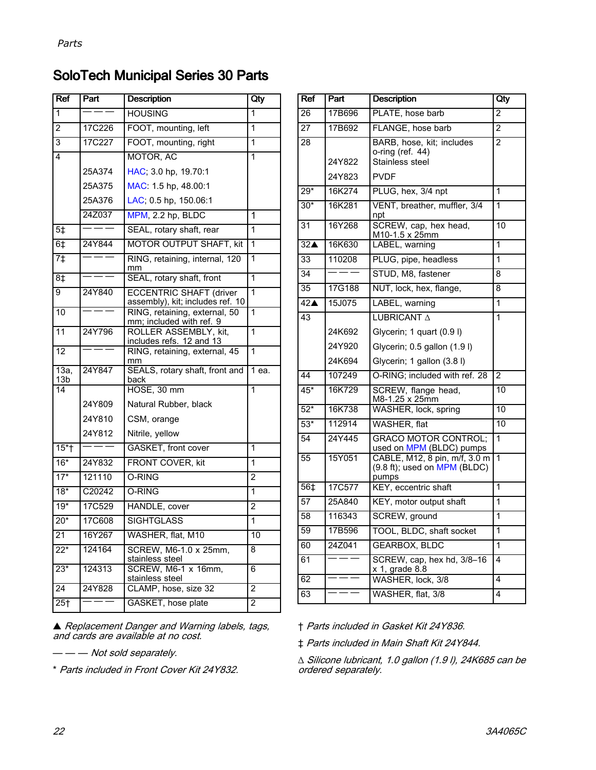## SoloTech Municipal Series 30 Parts

| <b>Ref</b>              | Part          | <b>Description</b>                                                 | Qty            |
|-------------------------|---------------|--------------------------------------------------------------------|----------------|
| 1                       |               | <b>HOUSING</b>                                                     | 1              |
| $\overline{2}$          | 17C226        | FOOT, mounting, left                                               | 1              |
| 3                       | 17C227        | FOOT, mounting, right                                              | 1              |
| 4                       |               | MOTOR, AC                                                          | 1              |
|                         | 25A374        | HAC; 3.0 hp, 19.70:1                                               |                |
|                         | 25A375        | MAC: 1.5 hp, 48.00:1                                               |                |
|                         | 25A376        | LAC; 0.5 hp, 150.06:1                                              |                |
|                         | 24Z037        | MPM, 2.2 hp, BLDC                                                  | 1              |
| 5 <sup>‡</sup>          |               | SEAL, rotary shaft, rear                                           | 1              |
| $6+$                    | 24Y844        | <b>MOTOR OUTPUT SHAFT, kit</b>                                     | 1              |
| 7 <sup>†</sup>          |               | RING, retaining, internal, 120<br>mm                               | 1              |
| 8‡                      |               | SEAL, rotary shaft, front                                          | 1              |
| 9                       | 24Y840        | <b>ECCENTRIC SHAFT (driver</b><br>assembly), kit; includes ref. 10 | $\overline{1}$ |
| 10                      |               | RING, retaining, external, 50<br>mm; included with ref. 9          | 1              |
| 11                      | 24Y796        | ROLLER ASSEMBLY, kit,<br>includes refs. 12 and 13                  | 1              |
| 12                      |               | RING, retaining, external, 45<br>mm                                | 1              |
| 13a,<br>13 <sub>b</sub> | 24Y847        | SEALS, rotary shaft, front and<br>back                             | 1 ea.          |
| 14                      |               | HOSE, 30 mm                                                        | 1              |
|                         | 24Y809        | Natural Rubber, black                                              |                |
|                         | 24Y810        | CSM, orange                                                        |                |
|                         | 24Y812        | Nitrile, yellow                                                    |                |
| $15*$ †                 | $=$ $=$       | GASKET, front cover                                                | 1              |
| $16*$                   | 24Y832        | FRONT COVER, kit                                                   | 1              |
| $17*$                   | 121110        | O-RING                                                             | $\overline{2}$ |
| $18*$                   | C20242        | O-RING                                                             | 1              |
| $19*$                   | 17C529        | HANDLE, cover                                                      | $\overline{2}$ |
| $20*$                   | <b>17C608</b> | <b>SIGHTGLASS</b>                                                  | 1              |
| 21                      | 16Y267        | WASHER, flat, M10                                                  | 10             |
| $22*$                   | 124164        | SCREW, M6-1.0 x 25mm,<br>stainless steel                           | 8              |
| $23*$                   | 124313        | SCREW, M6-1 x 16mm,<br>stainless steel                             | 6              |
| 24                      | 24Y828        | CLAMP, hose, size 32                                               | $\overline{2}$ |
| $\overline{25}$ †       |               | GASKET, hose plate                                                 | $\overline{c}$ |

▲ Replacement Danger and Warning labels, tags,<br>and cards are available at no cost. and cards are available at no cost.

— — — Not sold separately.

\* Parts included in Front Cover Kit 24Y832.

| Ref                | Part   | <b>Description</b>                                                     | Qty            |
|--------------------|--------|------------------------------------------------------------------------|----------------|
| $\overline{26}$    | 17B696 | PLATE, hose barb                                                       | $\overline{2}$ |
| $\overline{27}$    | 17B692 | FLANGE, hose barb                                                      | $\overline{2}$ |
| $\overline{28}$    | 24Y822 | BARB, hose, kit; includes<br>o-ring (ref. 44)<br>Stainless steel       | $\overline{2}$ |
|                    | 24Y823 | <b>PVDF</b>                                                            |                |
| $29*$              | 16K274 | PLUG, hex, 3/4 npt                                                     | 1              |
| $30*$              | 16K281 | VENT, breather, muffler, 3/4<br>npt                                    | $\overline{1}$ |
| 31                 | 16Y268 | SCREW, cap, hex head,<br>M10-1.5 x 25mm                                | 10             |
| 32 <sub>4</sub>    | 16K630 | LABEL, warning                                                         | 1              |
| 33                 | 110208 | PLUG, pipe, headless                                                   | 1              |
| 34                 |        | STUD, M8, fastener                                                     | 8              |
| 35                 | 17G188 | NUT, lock, hex, flange,                                                | 8              |
| $42\blacktriangle$ | 15J075 | LABEL, warning                                                         | 1              |
| 43                 |        | LUBRICANT A                                                            | 1              |
|                    | 24K692 | Glycerin; 1 quart (0.9 l)                                              |                |
|                    | 24Y920 | Glycerin; 0.5 gallon (1.9 l)                                           |                |
|                    | 24K694 | Glycerin; 1 gallon (3.8 l)                                             |                |
| 44                 | 107249 | O-RING: included with ref. 28                                          | $\overline{2}$ |
| $45*$              | 16K729 | SCREW, flange head,<br>M8-1.25 x 25mm                                  | 10             |
| $52*$              | 16K738 | WASHER, lock, spring                                                   | 10             |
| $53*$              | 112914 | WASHER, flat                                                           | 10             |
| 54                 | 24Y445 | <b>GRACO MOTOR CONTROL:</b><br>used on MPM (BLDC) pumps                | $\overline{1}$ |
| 55                 | 15Y051 | CABLE, M12, 8 pin, m/f, 3.0 m<br>(9.8 ft); used on MPM (BLDC)<br>pumps | 1              |
| 56‡                | 17C577 | KEY, eccentric shaft                                                   | 1              |
| 57                 | 25A840 | KEY, motor output shaft                                                | 1              |
| $\overline{58}$    | 116343 | SCREW, ground                                                          | 1              |
| 59                 | 17B596 | TOOL, BLDC, shaft socket                                               | 1              |
| 60                 | 24Z041 | <b>GEARBOX, BLDC</b>                                                   | 1              |
| 61                 |        | SCREW, cap, hex hd, 3/8-16<br>x 1, grade 8.8                           | 4              |
| 62                 |        | WASHER, lock, 3/8                                                      | 4              |
| 63                 |        | WASHER, flat, 3/8                                                      | 4              |

† Parts included in Gasket Kit 24Y836.

‡ Parts included in Main Shaft Kit 24Y844.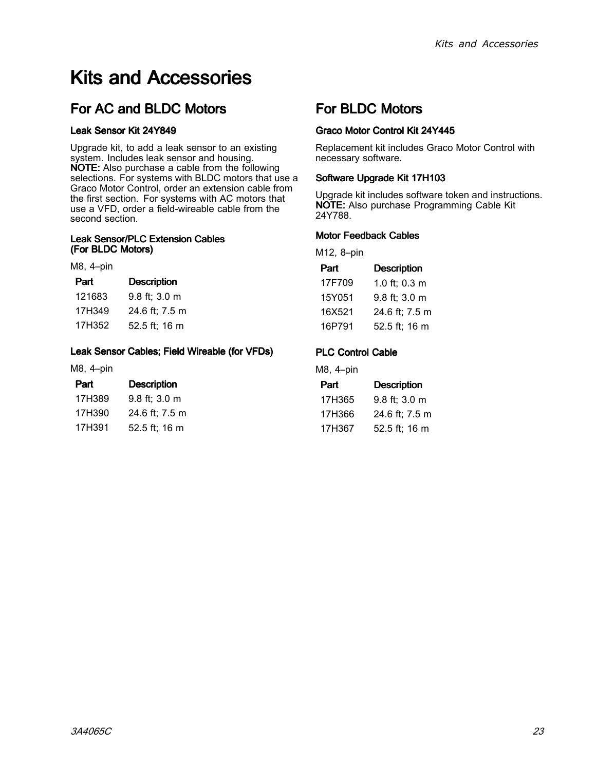# <span id="page-22-0"></span>Kits and Accessories

## For AC and BLDC Motors

#### Leak Sensor Kit 24Y849

Upgrade kit, to add <sup>a</sup> leak sensor to an existing system. Includes leak sensor and housing. NOTE: Also purchase <sup>a</sup> cable from the following selections. For systems with BLDC motors that use a Graco Motor Control, order an extension cable from the first section. For systems with AC motors that use <sup>a</sup> VFD, order <sup>a</sup> field-wireable cable from the second section.

#### Leak Sensor/PLC Extension Cables (For BLDC Motors)

#### M8, 4–pin

| Part   | <b>Description</b> |
|--------|--------------------|
| 121683 | 9.8 ft; 3.0 m      |
| 17H349 | 24.6 ft; 7.5 m     |
| 17H352 | 52.5 ft; 16 m      |
|        |                    |

#### Leak Sensor Cables; Field Wireable (for VFDs)

M8, 4–pin

| Part   | <b>Description</b> |  |  |
|--------|--------------------|--|--|
| 17H389 | 9.8 ft; 3.0 m      |  |  |
| 17H390 | 24.6 ft; 7.5 m     |  |  |
|        |                    |  |  |

17H391 52.5 ft; <sup>16</sup> <sup>m</sup>

### For BLDC Motors

#### Graco Motor Control Kit 24Y445

Replacement kit includes Graco Motor Control with necessary software.

#### Software Upgrade Kit 17H103

Upgrade kit includes software token and instructions. NOTE: Also purchase Programming Cable Kit 24Y788.

#### Motor Feedback Cables

M12, 8–pin

| Part   | <b>Description</b> |
|--------|--------------------|
| 17F709 | 1.0 ft; 0.3 m      |
| 15Y051 | 9.8 ft; 3.0 m      |
| 16X521 | 24.6 ft; 7.5 m     |
| 16P791 | 52.5 ft; 16 m      |
|        |                    |

#### PLC Control Cable

M8, 4–pin

| Part   | <b>Description</b> |
|--------|--------------------|
| 17H365 | 9.8 ft; 3.0 m      |
| 17H366 | 24.6 ft: 7.5 m     |
| 17H367 | 52.5 ft; 16 m      |
|        |                    |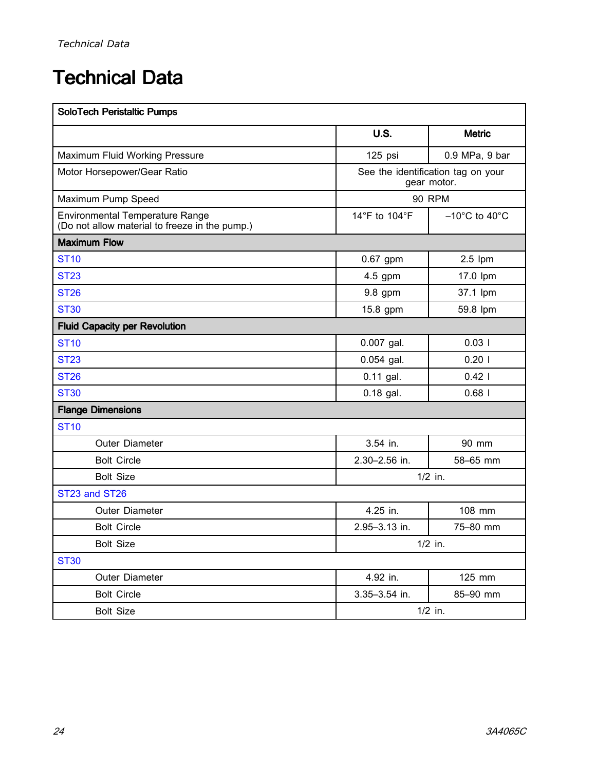# <span id="page-23-0"></span>**Technical Data**

| <b>SoloTech Peristaltic Pumps</b>                                                        |               |                                                   |  |
|------------------------------------------------------------------------------------------|---------------|---------------------------------------------------|--|
|                                                                                          | <b>U.S.</b>   | <b>Metric</b>                                     |  |
| Maximum Fluid Working Pressure                                                           | 125 psi       | 0.9 MPa, 9 bar                                    |  |
| Motor Horsepower/Gear Ratio                                                              |               | See the identification tag on your<br>gear motor. |  |
| Maximum Pump Speed                                                                       |               | <b>90 RPM</b>                                     |  |
| <b>Environmental Temperature Range</b><br>(Do not allow material to freeze in the pump.) | 14°F to 104°F | $-10^{\circ}$ C to $40^{\circ}$ C                 |  |
| <b>Maximum Flow</b>                                                                      |               |                                                   |  |
| <b>ST10</b>                                                                              | $0.67$ gpm    | $2.5$ lpm                                         |  |
| <b>ST23</b>                                                                              | 4.5 gpm       | 17.0 lpm                                          |  |
| <b>ST26</b>                                                                              | $9.8$ gpm     | 37.1 lpm                                          |  |
| <b>ST30</b>                                                                              | 15.8 gpm      | 59.8 lpm                                          |  |
| <b>Fluid Capacity per Revolution</b>                                                     |               |                                                   |  |
| <b>ST10</b>                                                                              | 0.007 gal.    | 0.031                                             |  |
| <b>ST23</b>                                                                              | $0.054$ gal.  | 0.201                                             |  |
| <b>ST26</b>                                                                              | $0.11$ gal.   | $0.42$                                            |  |
| <b>ST30</b>                                                                              | $0.18$ gal.   | $0.68$                                            |  |
| <b>Flange Dimensions</b>                                                                 |               |                                                   |  |
| <b>ST10</b>                                                                              |               |                                                   |  |
| Outer Diameter                                                                           | 3.54 in.      | 90 mm                                             |  |
| <b>Bolt Circle</b>                                                                       | 2.30-2.56 in. | 58-65 mm                                          |  |
| <b>Bolt Size</b>                                                                         |               | $1/2$ in.                                         |  |
| ST23 and ST26                                                                            |               |                                                   |  |
| Outer Diameter                                                                           | 4.25 in.      | 108 mm                                            |  |
| <b>Bolt Circle</b>                                                                       | 2.95-3.13 in. | 75-80 mm                                          |  |
| <b>Bolt Size</b>                                                                         |               | $1/2$ in.                                         |  |
| <b>ST30</b>                                                                              |               |                                                   |  |
| Outer Diameter                                                                           | 4.92 in.      | 125 mm                                            |  |
| <b>Bolt Circle</b>                                                                       | 3.35-3.54 in. | 85-90 mm                                          |  |
| <b>Bolt Size</b>                                                                         |               | $1/2$ in.                                         |  |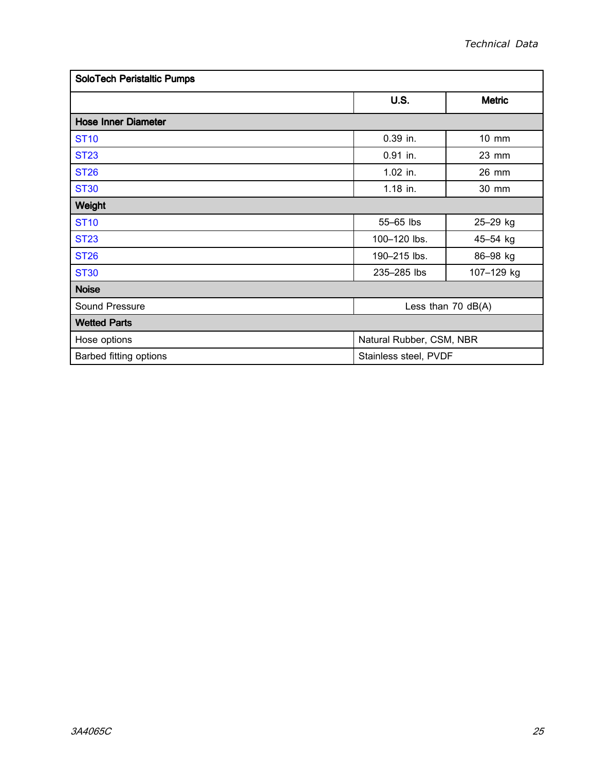| <b>SoloTech Peristaltic Pumps</b>      |                          |               |  |  |
|----------------------------------------|--------------------------|---------------|--|--|
|                                        | <b>U.S.</b>              | <b>Metric</b> |  |  |
| <b>Hose Inner Diameter</b>             |                          |               |  |  |
| <b>ST10</b>                            | 0.39 in.                 | 10 mm         |  |  |
| <b>ST23</b>                            | 0.91 in.                 | 23 mm         |  |  |
| <b>ST26</b>                            | 1.02 in.                 | 26 mm         |  |  |
| <b>ST30</b>                            | 1.18 in.                 | 30 mm         |  |  |
| <b>Weight</b>                          |                          |               |  |  |
| <b>ST10</b>                            | 55-65 lbs                | 25-29 kg      |  |  |
| <b>ST23</b>                            | 100-120 lbs.             | 45-54 kg      |  |  |
| <b>ST26</b>                            | 190-215 lbs.             | 86-98 kg      |  |  |
| <b>ST30</b>                            | 235-285 lbs              | 107-129 kg    |  |  |
| <b>Noise</b>                           |                          |               |  |  |
| Sound Pressure<br>Less than $70$ dB(A) |                          |               |  |  |
| <b>Wetted Parts</b>                    |                          |               |  |  |
| Hose options                           | Natural Rubber, CSM, NBR |               |  |  |
| Barbed fitting options                 | Stainless steel, PVDF    |               |  |  |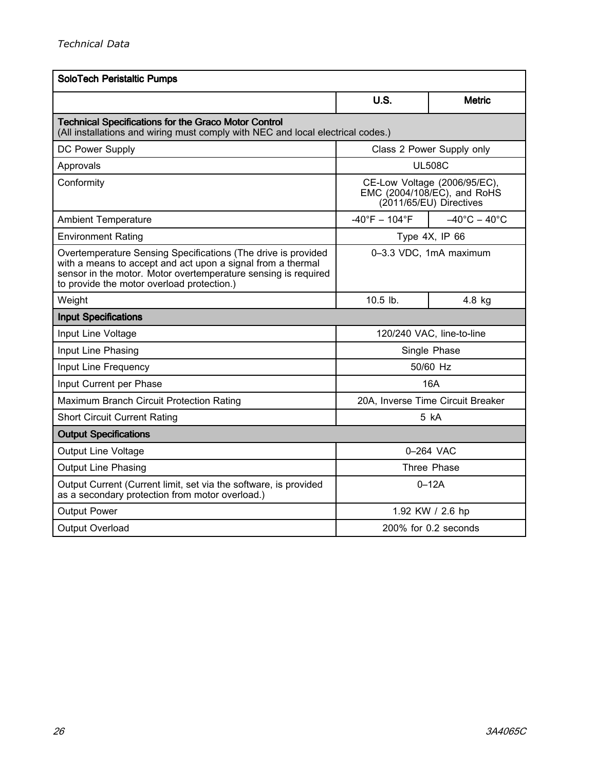| <b>SoloTech Peristaltic Pumps</b>                                                                                                                                                                                                            |                                                                                        |                                 |  |
|----------------------------------------------------------------------------------------------------------------------------------------------------------------------------------------------------------------------------------------------|----------------------------------------------------------------------------------------|---------------------------------|--|
|                                                                                                                                                                                                                                              | U.S.                                                                                   | <b>Metric</b>                   |  |
| <b>Technical Specifications for the Graco Motor Control</b><br>(All installations and wiring must comply with NEC and local electrical codes.)                                                                                               |                                                                                        |                                 |  |
| DC Power Supply                                                                                                                                                                                                                              |                                                                                        | Class 2 Power Supply only       |  |
| Approvals                                                                                                                                                                                                                                    |                                                                                        | <b>UL508C</b>                   |  |
| Conformity                                                                                                                                                                                                                                   | CE-Low Voltage (2006/95/EC),<br>EMC (2004/108/EC), and RoHS<br>(2011/65/EU) Directives |                                 |  |
| <b>Ambient Temperature</b>                                                                                                                                                                                                                   | $-40^{\circ}F - 104^{\circ}F$                                                          | $-40^{\circ}$ C $-40^{\circ}$ C |  |
| <b>Environment Rating</b>                                                                                                                                                                                                                    |                                                                                        | Type 4X, IP 66                  |  |
| Overtemperature Sensing Specifications (The drive is provided<br>with a means to accept and act upon a signal from a thermal<br>sensor in the motor. Motor overtemperature sensing is required<br>to provide the motor overload protection.) | 0-3.3 VDC, 1mA maximum                                                                 |                                 |  |
| Weight                                                                                                                                                                                                                                       | 10.5 lb.                                                                               | $4.8$ kg                        |  |
| <b>Input Specifications</b>                                                                                                                                                                                                                  |                                                                                        |                                 |  |
| Input Line Voltage                                                                                                                                                                                                                           | 120/240 VAC, line-to-line                                                              |                                 |  |
| Input Line Phasing                                                                                                                                                                                                                           |                                                                                        | Single Phase                    |  |
| Input Line Frequency                                                                                                                                                                                                                         | 50/60 Hz                                                                               |                                 |  |
| Input Current per Phase                                                                                                                                                                                                                      |                                                                                        | 16A                             |  |
| Maximum Branch Circuit Protection Rating                                                                                                                                                                                                     | 20A, Inverse Time Circuit Breaker                                                      |                                 |  |
| <b>Short Circuit Current Rating</b>                                                                                                                                                                                                          | 5 kA                                                                                   |                                 |  |
| <b>Output Specifications</b>                                                                                                                                                                                                                 |                                                                                        |                                 |  |
| <b>Output Line Voltage</b>                                                                                                                                                                                                                   | 0-264 VAC                                                                              |                                 |  |
| <b>Output Line Phasing</b>                                                                                                                                                                                                                   | Three Phase                                                                            |                                 |  |
| Output Current (Current limit, set via the software, is provided<br>as a secondary protection from motor overload.)                                                                                                                          | $0-12A$                                                                                |                                 |  |
| <b>Output Power</b>                                                                                                                                                                                                                          | 1.92 KW / 2.6 hp                                                                       |                                 |  |
| Output Overload                                                                                                                                                                                                                              |                                                                                        | 200% for 0.2 seconds            |  |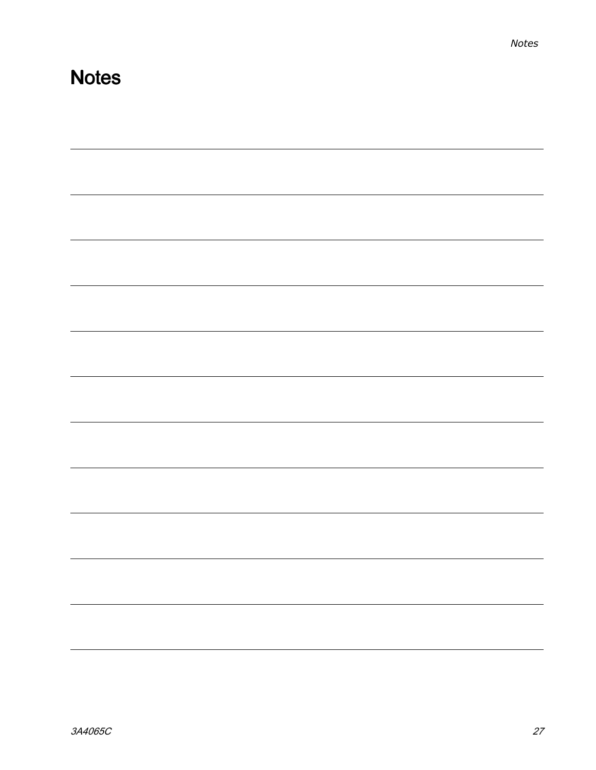# <span id="page-26-0"></span>**Notes**